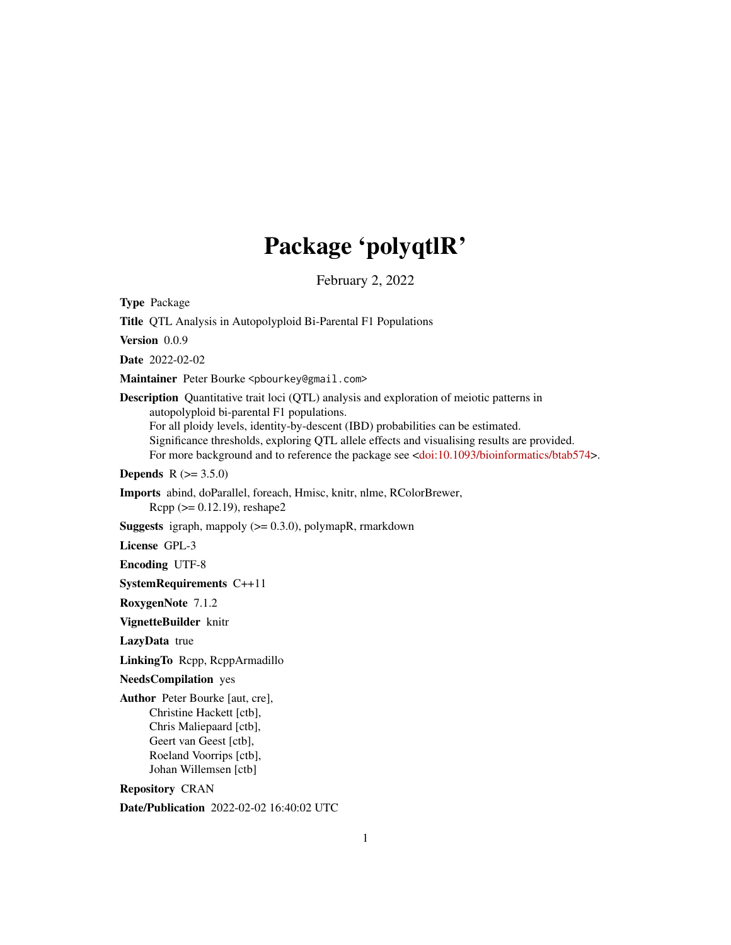# Package 'polyqtlR'

February 2, 2022

<span id="page-0-0"></span>Type Package Title QTL Analysis in Autopolyploid Bi-Parental F1 Populations Version 0.0.9 Date 2022-02-02 Maintainer Peter Bourke <pbourkey@gmail.com> Description Quantitative trait loci (QTL) analysis and exploration of meiotic patterns in autopolyploid bi-parental F1 populations. For all ploidy levels, identity-by-descent (IBD) probabilities can be estimated. Significance thresholds, exploring QTL allele effects and visualising results are provided. For more background and to reference the package see [<doi:10.1093/bioinformatics/btab574>](https://doi.org/10.1093/bioinformatics/btab574). **Depends**  $R (= 3.5.0)$ Imports abind, doParallel, foreach, Hmisc, knitr, nlme, RColorBrewer, Rcpp (>= 0.12.19), reshape2 **Suggests** igraph, mappoly  $(>= 0.3.0)$ , polymapR, rmarkdown License GPL-3 Encoding UTF-8 SystemRequirements C++11 RoxygenNote 7.1.2 VignetteBuilder knitr LazyData true LinkingTo Rcpp, RcppArmadillo NeedsCompilation yes Author Peter Bourke [aut, cre], Christine Hackett [ctb], Chris Maliepaard [ctb], Geert van Geest [ctb], Roeland Voorrips [ctb], Johan Willemsen [ctb] Repository CRAN

Date/Publication 2022-02-02 16:40:02 UTC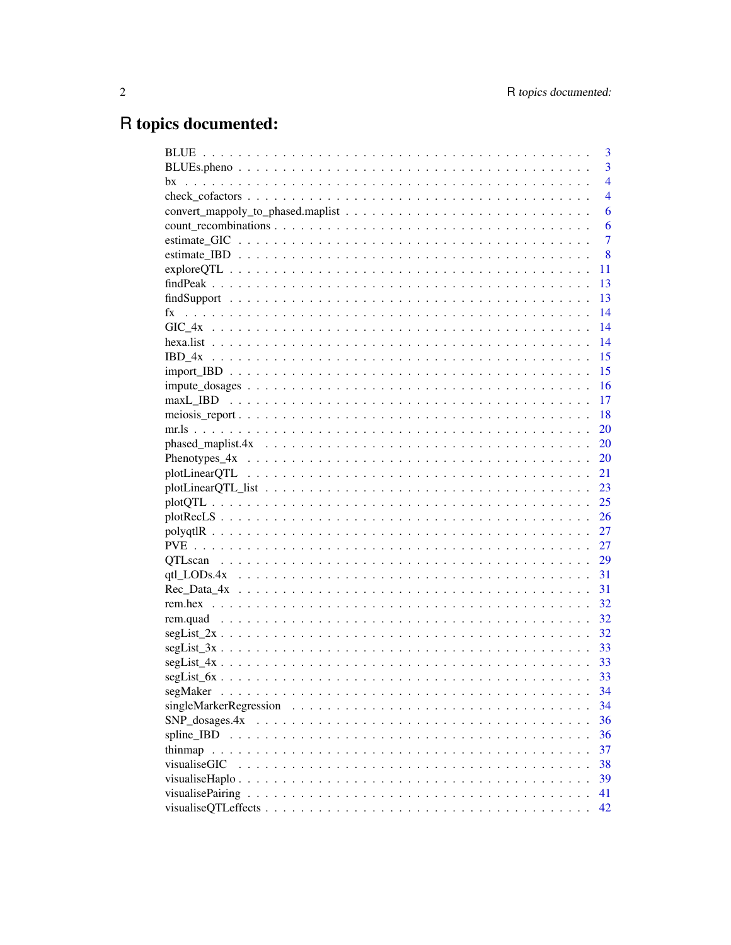# R topics documented:

|                                                                                                         | 3              |
|---------------------------------------------------------------------------------------------------------|----------------|
|                                                                                                         | $\overline{3}$ |
|                                                                                                         | $\overline{4}$ |
|                                                                                                         | $\overline{4}$ |
|                                                                                                         | 6              |
|                                                                                                         | 6              |
|                                                                                                         | $\overline{7}$ |
|                                                                                                         | 8              |
|                                                                                                         | 11             |
|                                                                                                         | 13             |
|                                                                                                         | 13             |
|                                                                                                         | 14             |
|                                                                                                         | 14             |
|                                                                                                         | 14             |
|                                                                                                         | <sup>15</sup>  |
|                                                                                                         | 15             |
|                                                                                                         |                |
|                                                                                                         |                |
|                                                                                                         | - 18           |
|                                                                                                         | <b>20</b>      |
|                                                                                                         |                |
|                                                                                                         |                |
|                                                                                                         | 21             |
|                                                                                                         | 23             |
|                                                                                                         | 25             |
|                                                                                                         | 26             |
|                                                                                                         | 27             |
|                                                                                                         |                |
|                                                                                                         |                |
|                                                                                                         |                |
|                                                                                                         | 31             |
|                                                                                                         | 32             |
|                                                                                                         | 32             |
| $segList_2x \ldots \ldots \ldots \ldots \ldots \ldots \ldots \ldots \ldots \ldots \ldots \ldots \ldots$ | 32             |
|                                                                                                         | - 33           |
|                                                                                                         |                |
|                                                                                                         | 33             |
|                                                                                                         | 34             |
|                                                                                                         | 34             |
|                                                                                                         | 36             |
|                                                                                                         | 36             |
|                                                                                                         | 37             |
| visualiseGIC                                                                                            | 38             |
|                                                                                                         | 39             |
|                                                                                                         | 41             |
|                                                                                                         | 42             |
|                                                                                                         |                |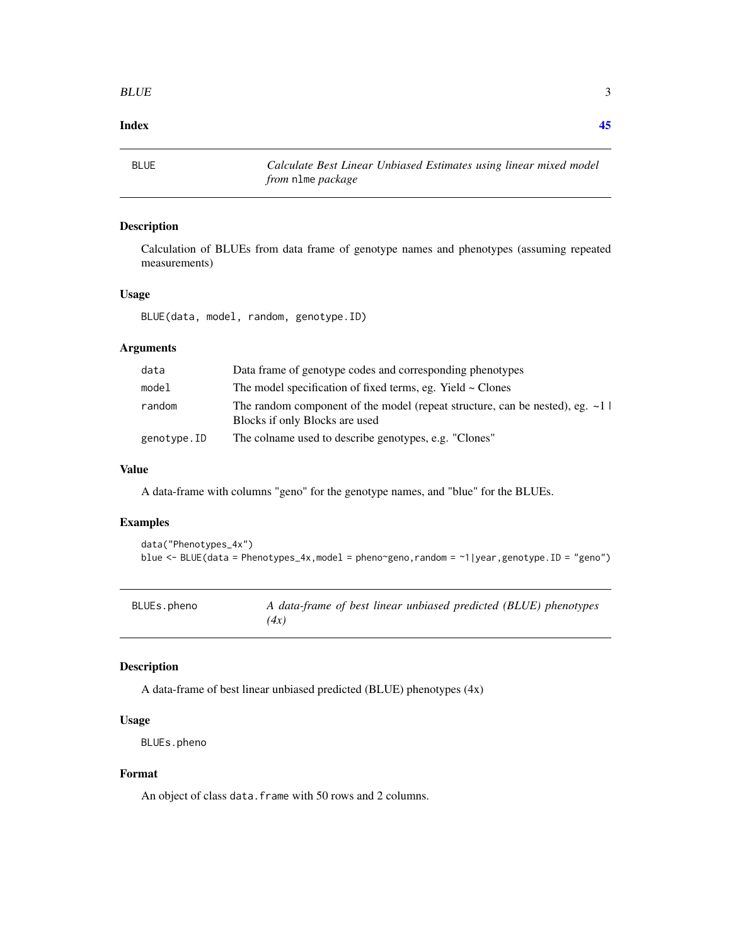#### <span id="page-2-0"></span>**Index** [45](#page-44-0)

BLUE *Calculate Best Linear Unbiased Estimates using linear mixed model from* nlme *package*

#### Description

Calculation of BLUEs from data frame of genotype names and phenotypes (assuming repeated measurements)

# Usage

BLUE(data, model, random, genotype.ID)

# Arguments

| data        | Data frame of genotype codes and corresponding phenotypes                                                           |
|-------------|---------------------------------------------------------------------------------------------------------------------|
| model       | The model specification of fixed terms, eg. Yield $\sim$ Clones                                                     |
| random      | The random component of the model (repeat structure, can be nested), eg. $\sim$ 1<br>Blocks if only Blocks are used |
| genotype.ID | The colname used to describe genotypes, e.g. "Clones"                                                               |

#### Value

A data-frame with columns "geno" for the genotype names, and "blue" for the BLUEs.

#### Examples

```
data("Phenotypes_4x")
blue <- BLUE(data = Phenotypes_4x,model = pheno~geno,random = ~1|year,genotype.ID = "geno")
```

| BLUEs.pheno | A data-frame of best linear unbiased predicted (BLUE) phenotypes |
|-------------|------------------------------------------------------------------|
|             | (4x)                                                             |

#### Description

A data-frame of best linear unbiased predicted (BLUE) phenotypes (4x)

#### Usage

```
BLUEs.pheno
```
#### Format

An object of class data. frame with 50 rows and 2 columns.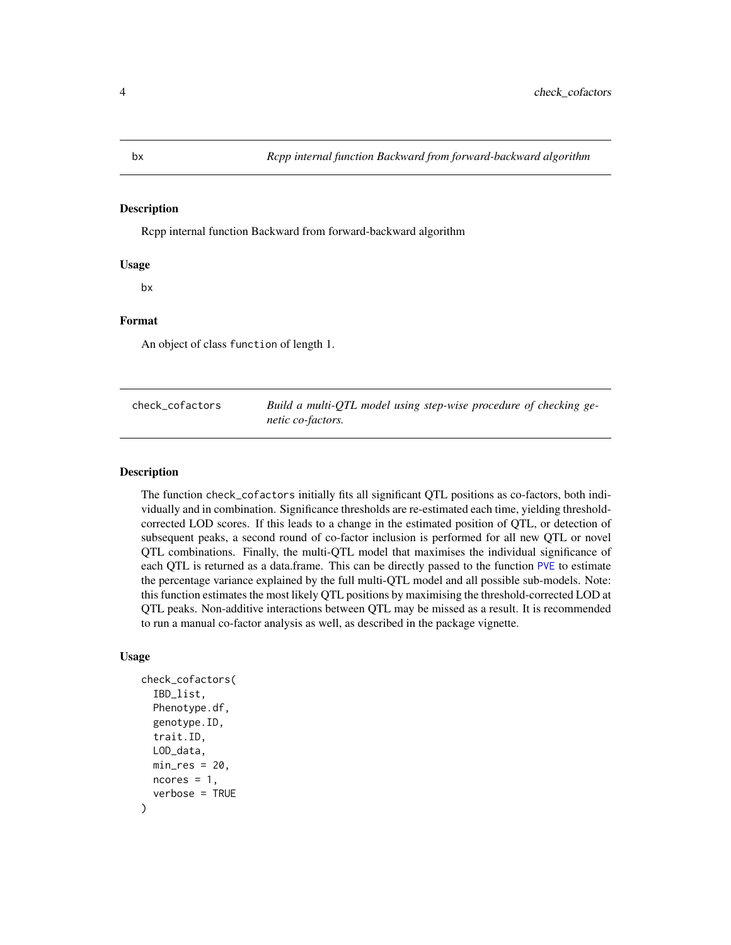<span id="page-3-0"></span>Rcpp internal function Backward from forward-backward algorithm

#### Usage

bx

#### Format

An object of class function of length 1.

<span id="page-3-1"></span>

| check cofactors | Build a multi-QTL model using step-wise procedure of checking ge- |
|-----------------|-------------------------------------------------------------------|
|                 | netic co-factors.                                                 |

# Description

The function check\_cofactors initially fits all significant QTL positions as co-factors, both individually and in combination. Significance thresholds are re-estimated each time, yielding thresholdcorrected LOD scores. If this leads to a change in the estimated position of QTL, or detection of subsequent peaks, a second round of co-factor inclusion is performed for all new QTL or novel QTL combinations. Finally, the multi-QTL model that maximises the individual significance of each QTL is returned as a data.frame. This can be directly passed to the function [PVE](#page-26-1) to estimate the percentage variance explained by the full multi-QTL model and all possible sub-models. Note: this function estimates the most likely QTL positions by maximising the threshold-corrected LOD at QTL peaks. Non-additive interactions between QTL may be missed as a result. It is recommended to run a manual co-factor analysis as well, as described in the package vignette.

### Usage

```
check_cofactors(
  IBD_list,
  Phenotype.df,
  genotype.ID,
  trait.ID,
 LOD_data,
  min\_res = 20,
 ncores = 1,
  verbose = TRUE
)
```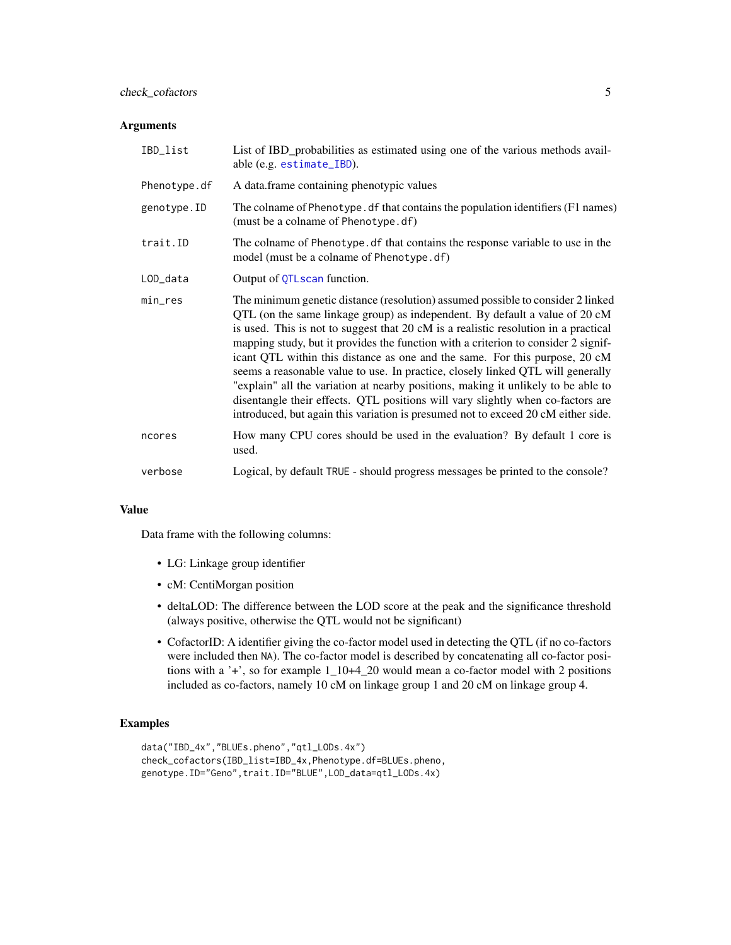#### <span id="page-4-0"></span>Arguments

| IBD_list     | List of IBD_probabilities as estimated using one of the various methods avail-<br>able (e.g. estimate_IBD).                                                                                                                                                                                                                                                                                                                                                                                                                                                                                                                                                                                                                                                                |
|--------------|----------------------------------------------------------------------------------------------------------------------------------------------------------------------------------------------------------------------------------------------------------------------------------------------------------------------------------------------------------------------------------------------------------------------------------------------------------------------------------------------------------------------------------------------------------------------------------------------------------------------------------------------------------------------------------------------------------------------------------------------------------------------------|
| Phenotype.df | A data.frame containing phenotypic values                                                                                                                                                                                                                                                                                                                                                                                                                                                                                                                                                                                                                                                                                                                                  |
| genotype.ID  | The colname of Phenotype. df that contains the population identifiers (F1 names)<br>(must be a colname of Phenotype.df)                                                                                                                                                                                                                                                                                                                                                                                                                                                                                                                                                                                                                                                    |
| trait.ID     | The colname of Phenotype. df that contains the response variable to use in the<br>model (must be a colname of Phenotype.df)                                                                                                                                                                                                                                                                                                                                                                                                                                                                                                                                                                                                                                                |
| LOD_data     | Output of QTLscan function.                                                                                                                                                                                                                                                                                                                                                                                                                                                                                                                                                                                                                                                                                                                                                |
| min_res      | The minimum genetic distance (resolution) assumed possible to consider 2 linked<br>QTL (on the same linkage group) as independent. By default a value of 20 cM<br>is used. This is not to suggest that 20 cM is a realistic resolution in a practical<br>mapping study, but it provides the function with a criterion to consider 2 signif-<br>icant QTL within this distance as one and the same. For this purpose, 20 cM<br>seems a reasonable value to use. In practice, closely linked QTL will generally<br>"explain" all the variation at nearby positions, making it unlikely to be able to<br>disentangle their effects. QTL positions will vary slightly when co-factors are<br>introduced, but again this variation is presumed not to exceed 20 cM either side. |
| ncores       | How many CPU cores should be used in the evaluation? By default 1 core is<br>used.                                                                                                                                                                                                                                                                                                                                                                                                                                                                                                                                                                                                                                                                                         |
| verbose      | Logical, by default TRUE - should progress messages be printed to the console?                                                                                                                                                                                                                                                                                                                                                                                                                                                                                                                                                                                                                                                                                             |

#### Value

Data frame with the following columns:

- LG: Linkage group identifier
- cM: CentiMorgan position
- deltaLOD: The difference between the LOD score at the peak and the significance threshold (always positive, otherwise the QTL would not be significant)
- CofactorID: A identifier giving the co-factor model used in detecting the QTL (if no co-factors were included then NA). The co-factor model is described by concatenating all co-factor positions with a '+', so for example 1\_10+4\_20 would mean a co-factor model with 2 positions included as co-factors, namely 10 cM on linkage group 1 and 20 cM on linkage group 4.

# Examples

```
data("IBD_4x","BLUEs.pheno","qtl_LODs.4x")
check_cofactors(IBD_list=IBD_4x,Phenotype.df=BLUEs.pheno,
genotype.ID="Geno",trait.ID="BLUE",LOD_data=qtl_LODs.4x)
```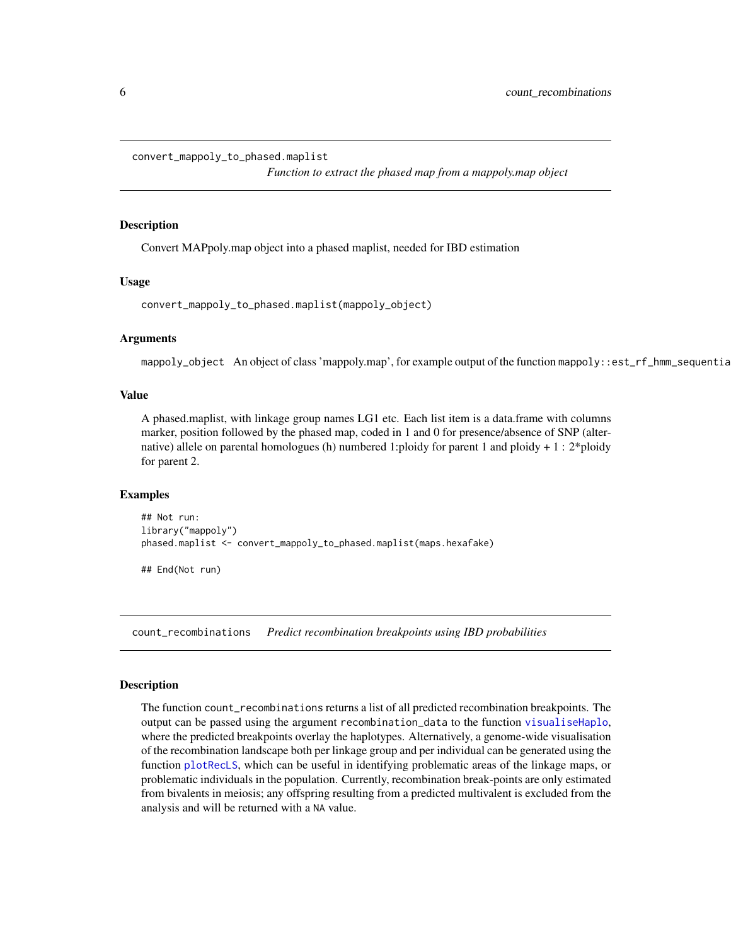<span id="page-5-0"></span>convert\_mappoly\_to\_phased.maplist

*Function to extract the phased map from a mappoly.map object*

#### **Description**

Convert MAPpoly.map object into a phased maplist, needed for IBD estimation

#### Usage

```
convert_mappoly_to_phased.maplist(mappoly_object)
```
#### Arguments

mappoly\_object An object of class 'mappoly.map', for example output of the function mappoly::est\_rf\_hmm\_sequentia

# Value

A phased.maplist, with linkage group names LG1 etc. Each list item is a data.frame with columns marker, position followed by the phased map, coded in 1 and 0 for presence/absence of SNP (alternative) allele on parental homologues (h) numbered 1:ploidy for parent 1 and ploidy + 1 : 2\*ploidy for parent 2.

#### Examples

```
## Not run:
library("mappoly")
phased.maplist <- convert_mappoly_to_phased.maplist(maps.hexafake)
```
## End(Not run)

<span id="page-5-1"></span>count\_recombinations *Predict recombination breakpoints using IBD probabilities*

#### **Description**

The function count\_recombinations returns a list of all predicted recombination breakpoints. The output can be passed using the argument recombination\_data to the function [visualiseHaplo](#page-38-1), where the predicted breakpoints overlay the haplotypes. Alternatively, a genome-wide visualisation of the recombination landscape both per linkage group and per individual can be generated using the function [plotRecLS](#page-25-1), which can be useful in identifying problematic areas of the linkage maps, or problematic individuals in the population. Currently, recombination break-points are only estimated from bivalents in meiosis; any offspring resulting from a predicted multivalent is excluded from the analysis and will be returned with a NA value.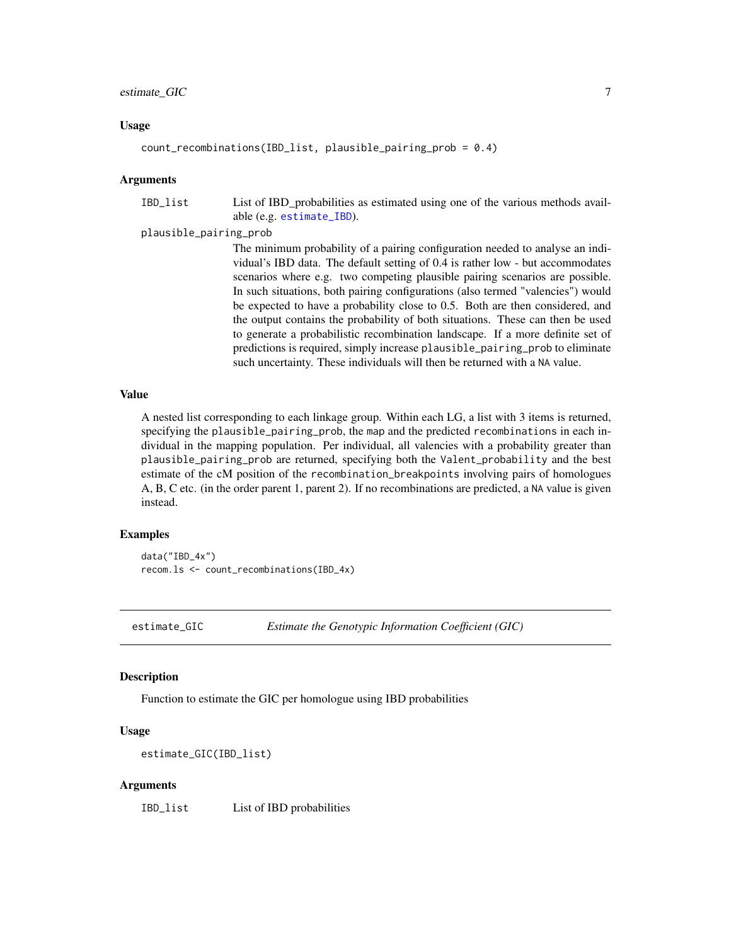#### <span id="page-6-0"></span>estimate\_GIC 7

#### Usage

```
count\_recombinations(IBD_list, plausible\_pairing\_prob = 0.4)
```
#### Arguments

IBD\_list List of IBD\_probabilities as estimated using one of the various methods available (e.g. [estimate\\_IBD](#page-7-1)).

#### plausible\_pairing\_prob

The minimum probability of a pairing configuration needed to analyse an individual's IBD data. The default setting of 0.4 is rather low - but accommodates scenarios where e.g. two competing plausible pairing scenarios are possible. In such situations, both pairing configurations (also termed "valencies") would be expected to have a probability close to 0.5. Both are then considered, and the output contains the probability of both situations. These can then be used to generate a probabilistic recombination landscape. If a more definite set of predictions is required, simply increase plausible\_pairing\_prob to eliminate such uncertainty. These individuals will then be returned with a NA value.

# Value

A nested list corresponding to each linkage group. Within each LG, a list with 3 items is returned, specifying the plausible\_pairing\_prob, the map and the predicted recombinations in each individual in the mapping population. Per individual, all valencies with a probability greater than plausible\_pairing\_prob are returned, specifying both the Valent\_probability and the best estimate of the cM position of the recombination\_breakpoints involving pairs of homologues A, B, C etc. (in the order parent 1, parent 2). If no recombinations are predicted, a NA value is given instead.

#### Examples

data("IBD\_4x") recom.ls <- count\_recombinations(IBD\_4x)

<span id="page-6-1"></span>estimate\_GIC *Estimate the Genotypic Information Coefficient (GIC)*

#### Description

Function to estimate the GIC per homologue using IBD probabilities

#### Usage

```
estimate_GIC(IBD_list)
```
#### Arguments

IBD\_list List of IBD probabilities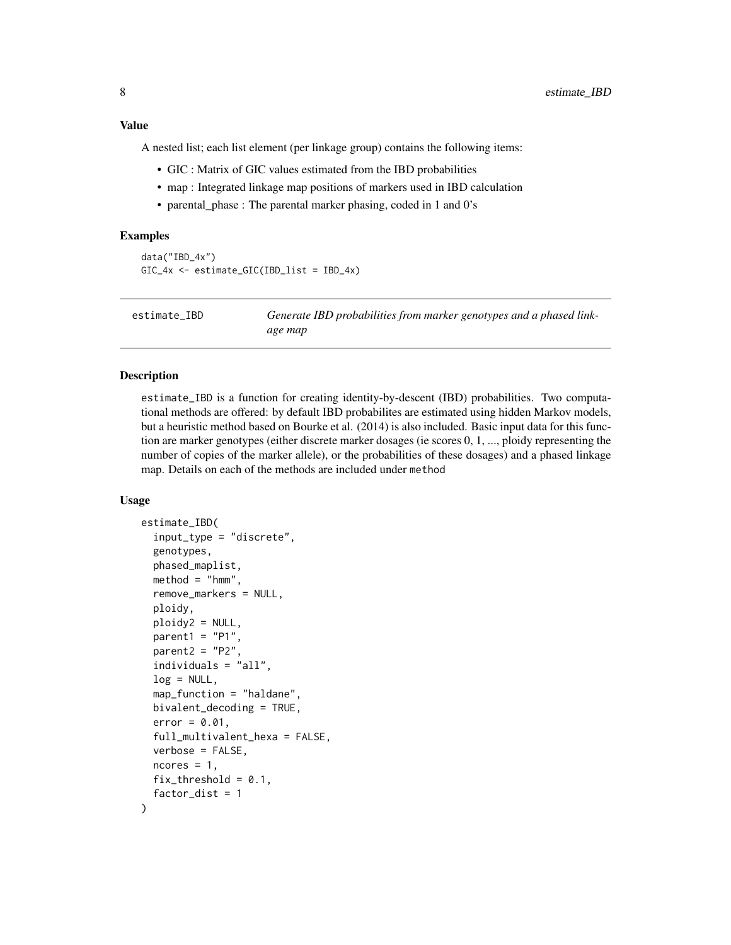# <span id="page-7-0"></span>Value

A nested list; each list element (per linkage group) contains the following items:

- GIC : Matrix of GIC values estimated from the IBD probabilities
- map : Integrated linkage map positions of markers used in IBD calculation
- parental phase : The parental marker phasing, coded in 1 and  $0's$

#### Examples

```
data("IBD_4x")
GIC_4x <- estimate_GIC(IBD_list = IBD_4x)
```
<span id="page-7-1"></span>estimate\_IBD *Generate IBD probabilities from marker genotypes and a phased linkage map*

#### **Description**

estimate\_IBD is a function for creating identity-by-descent (IBD) probabilities. Two computational methods are offered: by default IBD probabilites are estimated using hidden Markov models, but a heuristic method based on Bourke et al. (2014) is also included. Basic input data for this function are marker genotypes (either discrete marker dosages (ie scores 0, 1, ..., ploidy representing the number of copies of the marker allele), or the probabilities of these dosages) and a phased linkage map. Details on each of the methods are included under method

#### Usage

```
estimate_IBD(
  input_type = "discrete",
  genotypes,
 phased_maplist,
 method = "hmm",remove_markers = NULL,
 ploidy,
 ploidy2 = NULL,
  parent1 = "P1",parent2 = "P2",individuals = "all",
  log = NULL,map_function = "haldane",
 bivalent_decoding = TRUE,
  error = 0.01,full_multivalent_hexa = FALSE,
  verbose = FALSE,
  ncores = 1,
  fix_{threshold} = 0.1,
  factor\_dist = 1)
```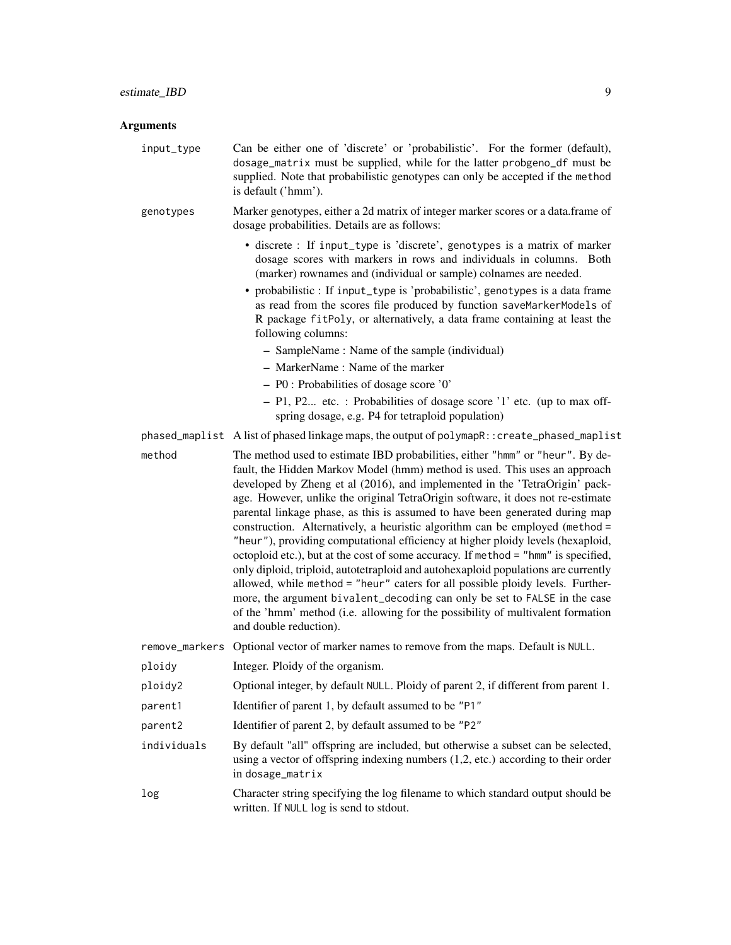| input_type  | Can be either one of 'discrete' or 'probabilistic'. For the former (default),<br>dosage_matrix must be supplied, while for the latter probgeno_df must be<br>supplied. Note that probabilistic genotypes can only be accepted if the method<br>is default ('hmm').                                                                                                                                                                                                                                                                                                                                                                                                                                                                                                                                                                                                                                                                                                                                                                       |
|-------------|------------------------------------------------------------------------------------------------------------------------------------------------------------------------------------------------------------------------------------------------------------------------------------------------------------------------------------------------------------------------------------------------------------------------------------------------------------------------------------------------------------------------------------------------------------------------------------------------------------------------------------------------------------------------------------------------------------------------------------------------------------------------------------------------------------------------------------------------------------------------------------------------------------------------------------------------------------------------------------------------------------------------------------------|
| genotypes   | Marker genotypes, either a 2d matrix of integer marker scores or a data.frame of<br>dosage probabilities. Details are as follows:                                                                                                                                                                                                                                                                                                                                                                                                                                                                                                                                                                                                                                                                                                                                                                                                                                                                                                        |
|             | • discrete : If input_type is 'discrete', genotypes is a matrix of marker<br>dosage scores with markers in rows and individuals in columns. Both<br>(marker) rownames and (individual or sample) colnames are needed.<br>• probabilistic : If input_type is 'probabilistic', genotypes is a data frame<br>as read from the scores file produced by function saveMarkerModels of<br>R package fitPoly, or alternatively, a data frame containing at least the<br>following columns:<br>- SampleName: Name of the sample (individual)<br>- MarkerName: Name of the marker<br>$-$ P0 : Probabilities of dosage score '0'<br>- P1, P2 etc. : Probabilities of dosage score '1' etc. (up to max off-<br>spring dosage, e.g. P4 for tetraploid population)                                                                                                                                                                                                                                                                                     |
|             | phased_maplist A list of phased linkage maps, the output of polymapR:: create_phased_maplist                                                                                                                                                                                                                                                                                                                                                                                                                                                                                                                                                                                                                                                                                                                                                                                                                                                                                                                                             |
| method      | The method used to estimate IBD probabilities, either "hmm" or "heur". By de-<br>fault, the Hidden Markov Model (hmm) method is used. This uses an approach<br>developed by Zheng et al (2016), and implemented in the 'TetraOrigin' pack-<br>age. However, unlike the original TetraOrigin software, it does not re-estimate<br>parental linkage phase, as this is assumed to have been generated during map<br>construction. Alternatively, a heuristic algorithm can be employed (method =<br>"heur"), providing computational efficiency at higher ploidy levels (hexaploid,<br>octoploid etc.), but at the cost of some accuracy. If method = "hmm" is specified,<br>only diploid, triploid, autotetraploid and autohexaploid populations are currently<br>allowed, while method = "heur" caters for all possible ploidy levels. Further-<br>more, the argument bivalent_decoding can only be set to FALSE in the case<br>of the 'hmm' method (i.e. allowing for the possibility of multivalent formation<br>and double reduction). |
|             | remove_markers Optional vector of marker names to remove from the maps. Default is NULL.                                                                                                                                                                                                                                                                                                                                                                                                                                                                                                                                                                                                                                                                                                                                                                                                                                                                                                                                                 |
| ploidy      | Integer. Ploidy of the organism.                                                                                                                                                                                                                                                                                                                                                                                                                                                                                                                                                                                                                                                                                                                                                                                                                                                                                                                                                                                                         |
| ploidy2     | Optional integer, by default NULL. Ploidy of parent 2, if different from parent 1.                                                                                                                                                                                                                                                                                                                                                                                                                                                                                                                                                                                                                                                                                                                                                                                                                                                                                                                                                       |
| parent1     | Identifier of parent 1, by default assumed to be "P1"                                                                                                                                                                                                                                                                                                                                                                                                                                                                                                                                                                                                                                                                                                                                                                                                                                                                                                                                                                                    |
| parent2     | Identifier of parent 2, by default assumed to be "P2"                                                                                                                                                                                                                                                                                                                                                                                                                                                                                                                                                                                                                                                                                                                                                                                                                                                                                                                                                                                    |
| individuals | By default "all" offspring are included, but otherwise a subset can be selected,<br>using a vector of offspring indexing numbers $(1,2, etc.)$ according to their order<br>in dosage_matrix                                                                                                                                                                                                                                                                                                                                                                                                                                                                                                                                                                                                                                                                                                                                                                                                                                              |
| log         | Character string specifying the log filename to which standard output should be<br>written. If NULL log is send to stdout.                                                                                                                                                                                                                                                                                                                                                                                                                                                                                                                                                                                                                                                                                                                                                                                                                                                                                                               |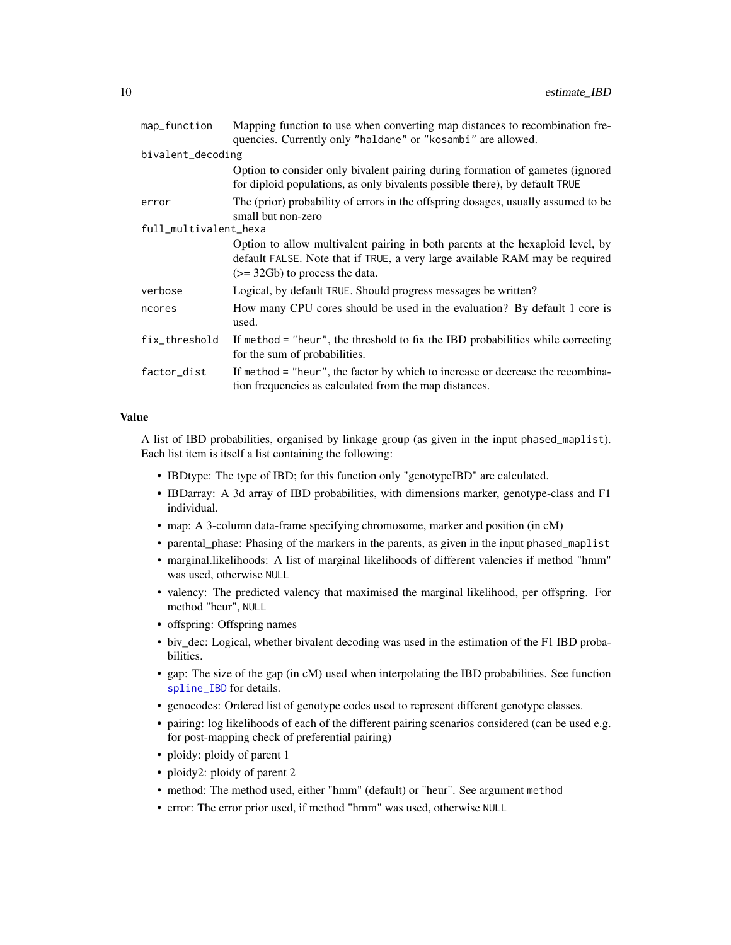<span id="page-9-0"></span>

| map_function          | Mapping function to use when converting map distances to recombination fre-<br>quencies. Currently only "haldane" or "kosambi" are allowed.                                                        |
|-----------------------|----------------------------------------------------------------------------------------------------------------------------------------------------------------------------------------------------|
| bivalent_decoding     |                                                                                                                                                                                                    |
|                       | Option to consider only bivalent pairing during formation of gametes (ignored<br>for diploid populations, as only bivalents possible there), by default TRUE                                       |
| error                 | The (prior) probability of errors in the offspring dosages, usually assumed to be<br>small but non-zero                                                                                            |
| full_multivalent_hexa |                                                                                                                                                                                                    |
|                       | Option to allow multivalent pairing in both parents at the hexaploid level, by<br>default FALSE. Note that if TRUE, a very large available RAM may be required<br>$(>= 32Gb)$ to process the data. |
| verbose               | Logical, by default TRUE. Should progress messages be written?                                                                                                                                     |
| ncores                | How many CPU cores should be used in the evaluation? By default 1 core is<br>used.                                                                                                                 |
| fix_threshold         | If method $=$ "heur", the threshold to fix the IBD probabilities while correcting<br>for the sum of probabilities.                                                                                 |
| factor_dist           | If method = "heur", the factor by which to increase or decrease the recombina-<br>tion frequencies as calculated from the map distances.                                                           |

# Value

A list of IBD probabilities, organised by linkage group (as given in the input phased\_maplist). Each list item is itself a list containing the following:

- IBDtype: The type of IBD; for this function only "genotypeIBD" are calculated.
- IBDarray: A 3d array of IBD probabilities, with dimensions marker, genotype-class and F1 individual.
- map: A 3-column data-frame specifying chromosome, marker and position (in cM)
- parental\_phase: Phasing of the markers in the parents, as given in the input phased\_maplist
- marginal.likelihoods: A list of marginal likelihoods of different valencies if method "hmm" was used, otherwise NULL
- valency: The predicted valency that maximised the marginal likelihood, per offspring. For method "heur", NULL
- offspring: Offspring names
- biv\_dec: Logical, whether bivalent decoding was used in the estimation of the F1 IBD probabilities.
- gap: The size of the gap (in cM) used when interpolating the IBD probabilities. See function [spline\\_IBD](#page-35-1) for details.
- genocodes: Ordered list of genotype codes used to represent different genotype classes.
- pairing: log likelihoods of each of the different pairing scenarios considered (can be used e.g. for post-mapping check of preferential pairing)
- ploidy: ploidy of parent 1
- ploidy2: ploidy of parent 2
- method: The method used, either "hmm" (default) or "heur". See argument method
- error: The error prior used, if method "hmm" was used, otherwise NULL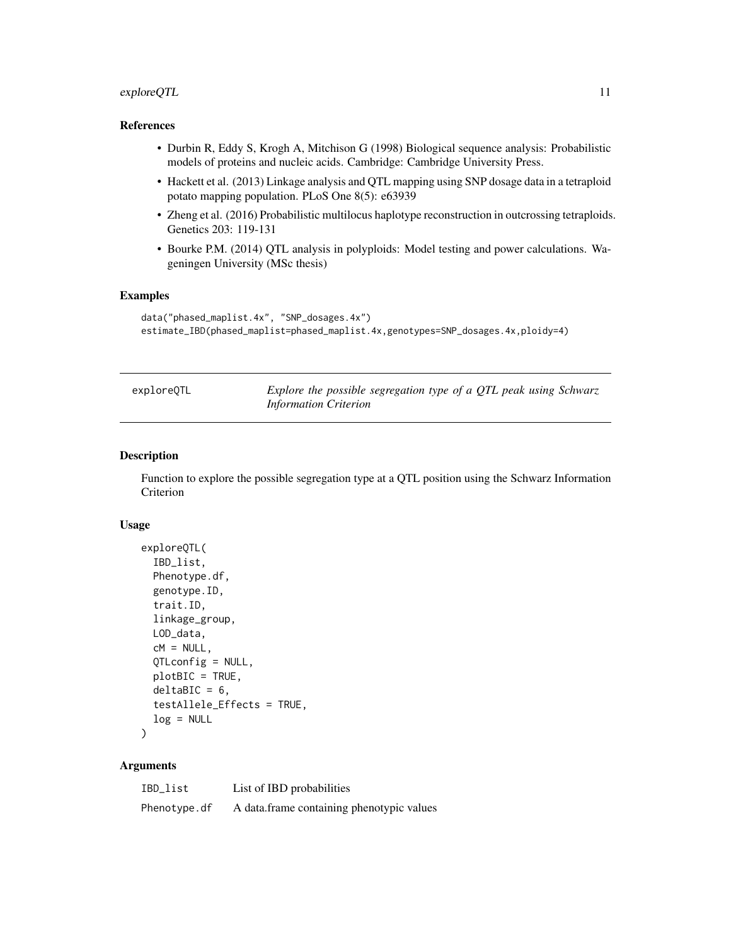# <span id="page-10-0"></span>exploreQTL 11

#### References

- Durbin R, Eddy S, Krogh A, Mitchison G (1998) Biological sequence analysis: Probabilistic models of proteins and nucleic acids. Cambridge: Cambridge University Press.
- Hackett et al. (2013) Linkage analysis and QTL mapping using SNP dosage data in a tetraploid potato mapping population. PLoS One 8(5): e63939
- Zheng et al. (2016) Probabilistic multilocus haplotype reconstruction in outcrossing tetraploids. Genetics 203: 119-131
- Bourke P.M. (2014) QTL analysis in polyploids: Model testing and power calculations. Wageningen University (MSc thesis)

#### Examples

```
data("phased_maplist.4x", "SNP_dosages.4x")
estimate_IBD(phased_maplist=phased_maplist.4x,genotypes=SNP_dosages.4x,ploidy=4)
```
<span id="page-10-1"></span>exploreQTL *Explore the possible segregation type of a QTL peak using Schwarz Information Criterion*

#### Description

Function to explore the possible segregation type at a QTL position using the Schwarz Information Criterion

#### Usage

```
exploreQTL(
  IBD_list,
 Phenotype.df,
  genotype.ID,
  trait.ID,
  linkage_group,
 LOD_data,
  cM = NULL,QTLconfig = NULL,
 plotBIC = TRUE,
  delaBIC = 6,
  testAllele_Effects = TRUE,
  log = NULL)
```

| IBD_list     | List of IBD probabilities                 |
|--------------|-------------------------------------------|
| Phenotype.df | A data frame containing phenotypic values |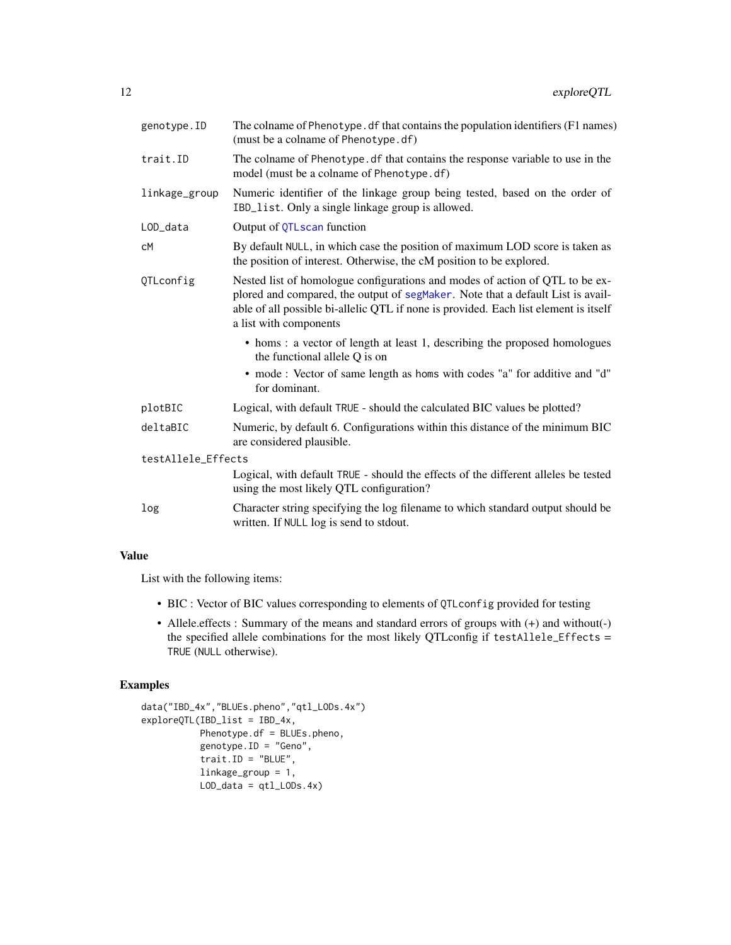<span id="page-11-0"></span>

| genotype.ID        | The colname of Phenotype. df that contains the population identifiers (F1 names)<br>(must be a colname of Phenotype.df)                                                                                                                                                           |
|--------------------|-----------------------------------------------------------------------------------------------------------------------------------------------------------------------------------------------------------------------------------------------------------------------------------|
| trait.ID           | The colname of Phenotype. df that contains the response variable to use in the<br>model (must be a colname of Phenotype.df)                                                                                                                                                       |
| linkage_group      | Numeric identifier of the linkage group being tested, based on the order of<br>IBD_list. Only a single linkage group is allowed.                                                                                                                                                  |
| LOD_data           | Output of QTLscan function                                                                                                                                                                                                                                                        |
| сM                 | By default NULL, in which case the position of maximum LOD score is taken as<br>the position of interest. Otherwise, the cM position to be explored.                                                                                                                              |
| QTLconfig          | Nested list of homologue configurations and modes of action of QTL to be ex-<br>plored and compared, the output of segMaker. Note that a default List is avail-<br>able of all possible bi-allelic QTL if none is provided. Each list element is itself<br>a list with components |
|                    | • homs: a vector of length at least 1, describing the proposed homologues<br>the functional allele Q is on<br>• mode: Vector of same length as homs with codes "a" for additive and "d"<br>for dominant.                                                                          |
| plotBIC            | Logical, with default TRUE - should the calculated BIC values be plotted?                                                                                                                                                                                                         |
| deltaBIC           | Numeric, by default 6. Configurations within this distance of the minimum BIC<br>are considered plausible.                                                                                                                                                                        |
| testAllele_Effects |                                                                                                                                                                                                                                                                                   |
|                    | Logical, with default TRUE - should the effects of the different alleles be tested<br>using the most likely QTL configuration?                                                                                                                                                    |
| log                | Character string specifying the log filename to which standard output should be<br>written. If NULL log is send to stdout.                                                                                                                                                        |

# Value

List with the following items:

- BIC : Vector of BIC values corresponding to elements of QTLconfig provided for testing
- Allele.effects : Summary of the means and standard errors of groups with (+) and without(-) the specified allele combinations for the most likely QTLconfig if testAllele\_Effects = TRUE (NULL otherwise).

#### Examples

```
data("IBD_4x","BLUEs.pheno","qtl_LODs.4x")
exploreQTL(IBD_list = IBD_4x,
          Phenotype.df = BLUEs.pheno,
          genotype.ID = "Geno",
          trait.ID = "BLUE",linkage_group = 1,
          LOD\_data = qt1_LODs.4x)
```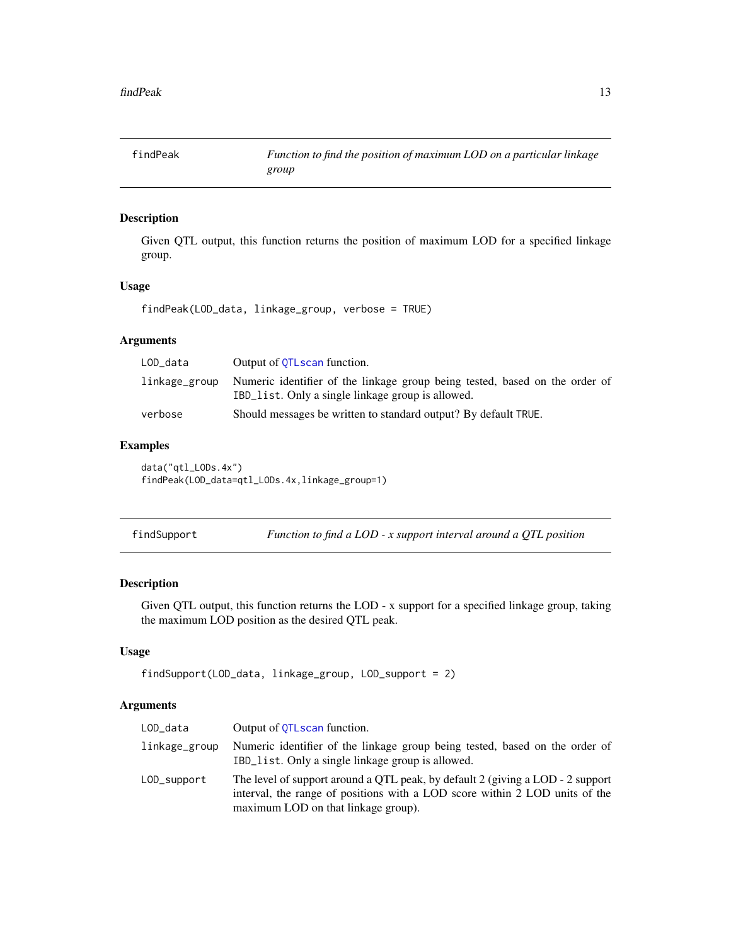<span id="page-12-0"></span>

Given QTL output, this function returns the position of maximum LOD for a specified linkage group.

#### Usage

findPeak(LOD\_data, linkage\_group, verbose = TRUE)

### Arguments

| LOD_data      | Output of OTLscan function.                                                                                                      |
|---------------|----------------------------------------------------------------------------------------------------------------------------------|
| linkage_group | Numeric identifier of the linkage group being tested, based on the order of<br>IBD_list. Only a single linkage group is allowed. |
| verbose       | Should messages be written to standard output? By default TRUE.                                                                  |

# Examples

data("qtl\_LODs.4x") findPeak(LOD\_data=qtl\_LODs.4x,linkage\_group=1)

| findSupport | Function to find a LOD - $x$ support interval around a QTL position |
|-------------|---------------------------------------------------------------------|
|-------------|---------------------------------------------------------------------|

# Description

Given QTL output, this function returns the LOD - x support for a specified linkage group, taking the maximum LOD position as the desired QTL peak.

#### Usage

```
findSupport(LOD_data, linkage_group, LOD_support = 2)
```

| LOD_data      | Output of OTLscan function.                                                                                                                                                                          |
|---------------|------------------------------------------------------------------------------------------------------------------------------------------------------------------------------------------------------|
| linkage_group | Numeric identifier of the linkage group being tested, based on the order of<br>IBD_list. Only a single linkage group is allowed.                                                                     |
| LOD_support   | The level of support around a QTL peak, by default 2 (giving a LOD - 2 support<br>interval, the range of positions with a LOD score within 2 LOD units of the<br>maximum LOD on that linkage group). |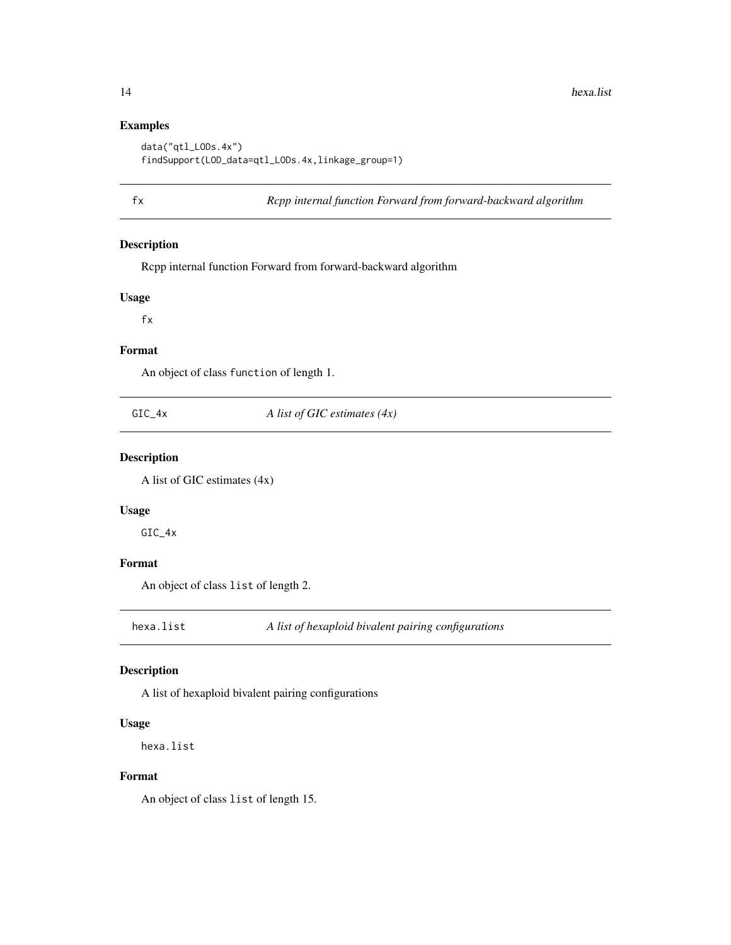# Examples

```
data("qtl_LODs.4x")
findSupport(LOD_data=qtl_LODs.4x,linkage_group=1)
```
fx *Rcpp internal function Forward from forward-backward algorithm*

### Description

Rcpp internal function Forward from forward-backward algorithm

#### Usage

fx

#### Format

An object of class function of length 1.

GIC\_4x *A list of GIC estimates (4x)*

# Description

A list of GIC estimates (4x)

# Usage

GIC\_4x

#### Format

An object of class list of length 2.

hexa.list *A list of hexaploid bivalent pairing configurations*

# Description

A list of hexaploid bivalent pairing configurations

#### Usage

hexa.list

#### Format

An object of class list of length 15.

<span id="page-13-0"></span>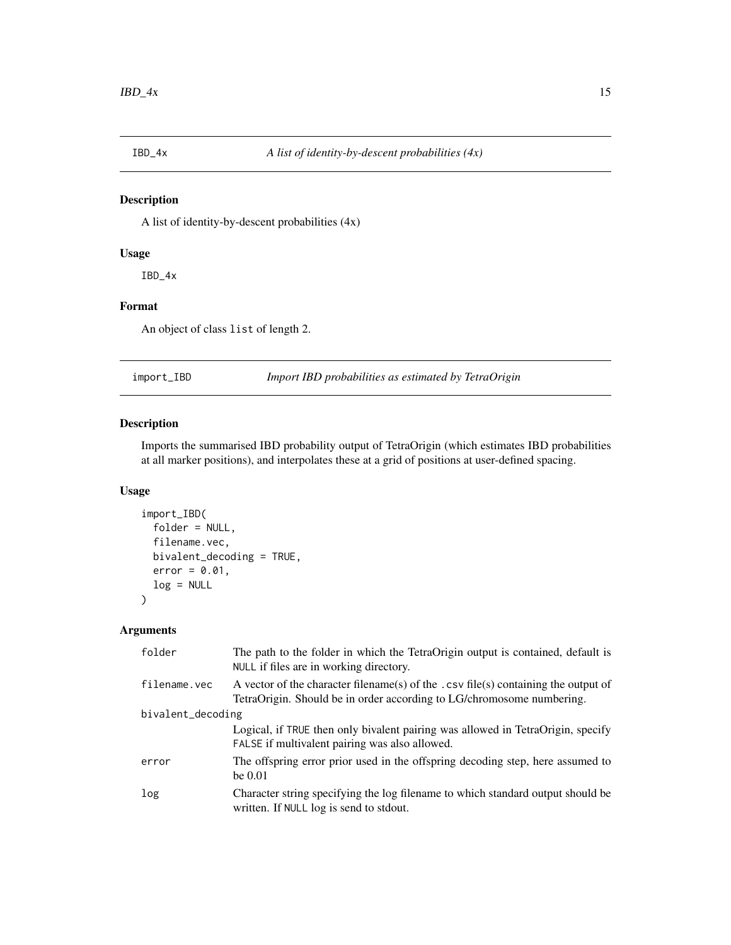<span id="page-14-0"></span>

A list of identity-by-descent probabilities (4x)

# Usage

IBD\_4x

# Format

An object of class list of length 2.

import\_IBD *Import IBD probabilities as estimated by TetraOrigin*

# Description

Imports the summarised IBD probability output of TetraOrigin (which estimates IBD probabilities at all marker positions), and interpolates these at a grid of positions at user-defined spacing.

# Usage

```
import_IBD(
  folder = NULL,
  filename.vec,
 bivalent_decoding = TRUE,
  error = 0.01,log = NULL\mathcal{L}
```

| folder            | The path to the folder in which the TetraOrigin output is contained, default is<br>NULL if files are in working directory.                                  |
|-------------------|-------------------------------------------------------------------------------------------------------------------------------------------------------------|
| filename.vec      | A vector of the character filename(s) of the .csv file(s) containing the output of<br>TetraOrigin. Should be in order according to LG/chromosome numbering. |
| bivalent_decoding |                                                                                                                                                             |
|                   | Logical, if TRUE then only bivalent pairing was allowed in TetraOrigin, specify<br>FALSE if multivalent pairing was also allowed.                           |
| error             | The offspring error prior used in the offspring decoding step, here assumed to<br>be $0.01$                                                                 |
| log               | Character string specifying the log filename to which standard output should be<br>written. If NULL log is send to stdout.                                  |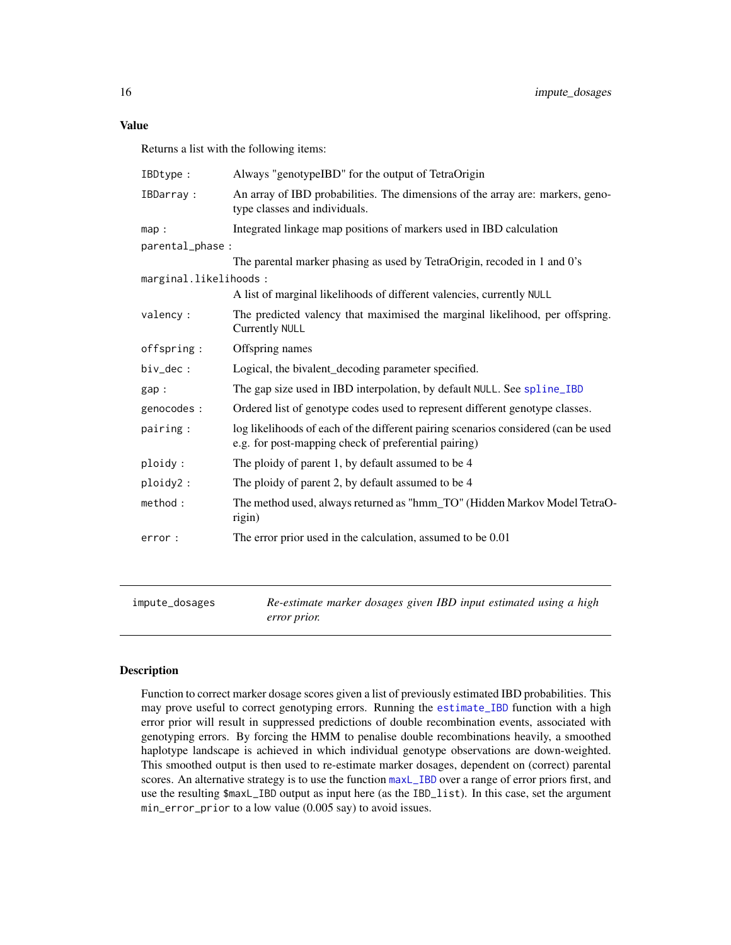<span id="page-15-0"></span>Returns a list with the following items:

| IBDtype:              | Always "genotypeIBD" for the output of TetraOrigin                                                                                         |
|-----------------------|--------------------------------------------------------------------------------------------------------------------------------------------|
| IBDarray:             | An array of IBD probabilities. The dimensions of the array are: markers, geno-<br>type classes and individuals.                            |
| map:                  | Integrated linkage map positions of markers used in IBD calculation                                                                        |
| parental_phase :      |                                                                                                                                            |
|                       | The parental marker phasing as used by TetraOrigin, recoded in 1 and 0's                                                                   |
| marginal.likelihoods: |                                                                                                                                            |
|                       | A list of marginal likelihoods of different valencies, currently NULL                                                                      |
| valency :             | The predicted valency that maximised the marginal likelihood, per offspring.<br><b>Currently NULL</b>                                      |
| offspring:            | Offspring names                                                                                                                            |
| $biv\_dec:$           | Logical, the bivalent_decoding parameter specified.                                                                                        |
| gap:                  | The gap size used in IBD interpolation, by default NULL. See spline_IBD                                                                    |
| genocodes :           | Ordered list of genotype codes used to represent different genotype classes.                                                               |
| pairing:              | log likelihoods of each of the different pairing scenarios considered (can be used<br>e.g. for post-mapping check of preferential pairing) |
| ploidy:               | The ploidy of parent 1, by default assumed to be 4                                                                                         |
| ploidy2:              | The ploidy of parent 2, by default assumed to be 4                                                                                         |
| method:               | The method used, always returned as "hmm_TO" (Hidden Markov Model TetraO-<br>rigin)                                                        |
| error:                | The error prior used in the calculation, assumed to be 0.01                                                                                |

impute\_dosages *Re-estimate marker dosages given IBD input estimated using a high error prior.*

#### Description

Function to correct marker dosage scores given a list of previously estimated IBD probabilities. This may prove useful to correct genotyping errors. Running the [estimate\\_IBD](#page-7-1) function with a high error prior will result in suppressed predictions of double recombination events, associated with genotyping errors. By forcing the HMM to penalise double recombinations heavily, a smoothed haplotype landscape is achieved in which individual genotype observations are down-weighted. This smoothed output is then used to re-estimate marker dosages, dependent on (correct) parental scores. An alternative strategy is to use the function [maxL\\_IBD](#page-16-1) over a range of error priors first, and use the resulting \$maxL\_IBD output as input here (as the IBD\_list). In this case, set the argument min\_error\_prior to a low value (0.005 say) to avoid issues.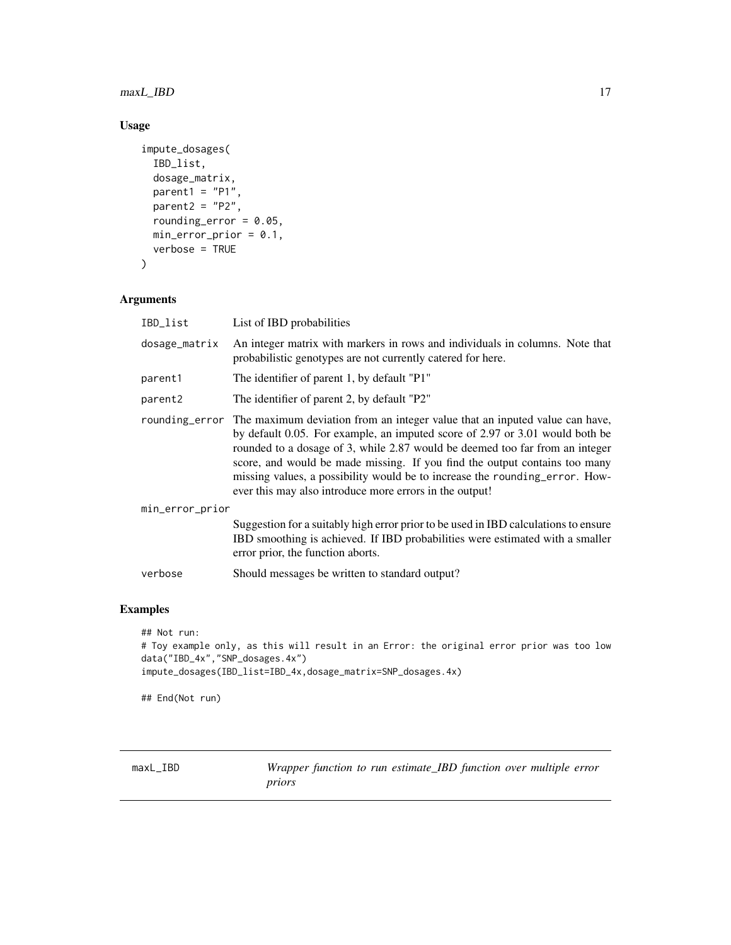<span id="page-16-0"></span>maxL\_IBD 17

# Usage

```
impute_dosages(
 IBD_list,
 dosage_matrix,
 parent1 = "P1",parent2 = "P2",rounding_error = 0.05,
 min_error_prior = 0.1,
 verbose = TRUE
)
```
# Arguments

| IBD_list            | List of IBD probabilities                                                                                                                                                                                                                                                                                                                                                                                                                                                          |
|---------------------|------------------------------------------------------------------------------------------------------------------------------------------------------------------------------------------------------------------------------------------------------------------------------------------------------------------------------------------------------------------------------------------------------------------------------------------------------------------------------------|
| dosage_matrix       | An integer matrix with markers in rows and individuals in columns. Note that<br>probabilistic genotypes are not currently catered for here.                                                                                                                                                                                                                                                                                                                                        |
| parent1             | The identifier of parent 1, by default "P1"                                                                                                                                                                                                                                                                                                                                                                                                                                        |
| parent <sub>2</sub> | The identifier of parent 2, by default "P2"                                                                                                                                                                                                                                                                                                                                                                                                                                        |
|                     | rounding error The maximum deviation from an integer value that an inputed value can have,<br>by default 0.05. For example, an imputed score of 2.97 or 3.01 would both be<br>rounded to a dosage of 3, while 2.87 would be deemed too far from an integer<br>score, and would be made missing. If you find the output contains too many<br>missing values, a possibility would be to increase the rounding_error. How-<br>ever this may also introduce more errors in the output! |
| min_error_prior     |                                                                                                                                                                                                                                                                                                                                                                                                                                                                                    |
|                     | Suggestion for a suitably high error prior to be used in IBD calculations to ensure<br>IBD smoothing is achieved. If IBD probabilities were estimated with a smaller<br>error prior, the function aborts.                                                                                                                                                                                                                                                                          |
| verbose             | Should messages be written to standard output?                                                                                                                                                                                                                                                                                                                                                                                                                                     |

# Examples

```
## Not run:
# Toy example only, as this will result in an Error: the original error prior was too low
data("IBD_4x","SNP_dosages.4x")
impute_dosages(IBD_list=IBD_4x,dosage_matrix=SNP_dosages.4x)
```
## End(Not run)

<span id="page-16-1"></span>maxL\_IBD *Wrapper function to run estimate\_IBD function over multiple error priors*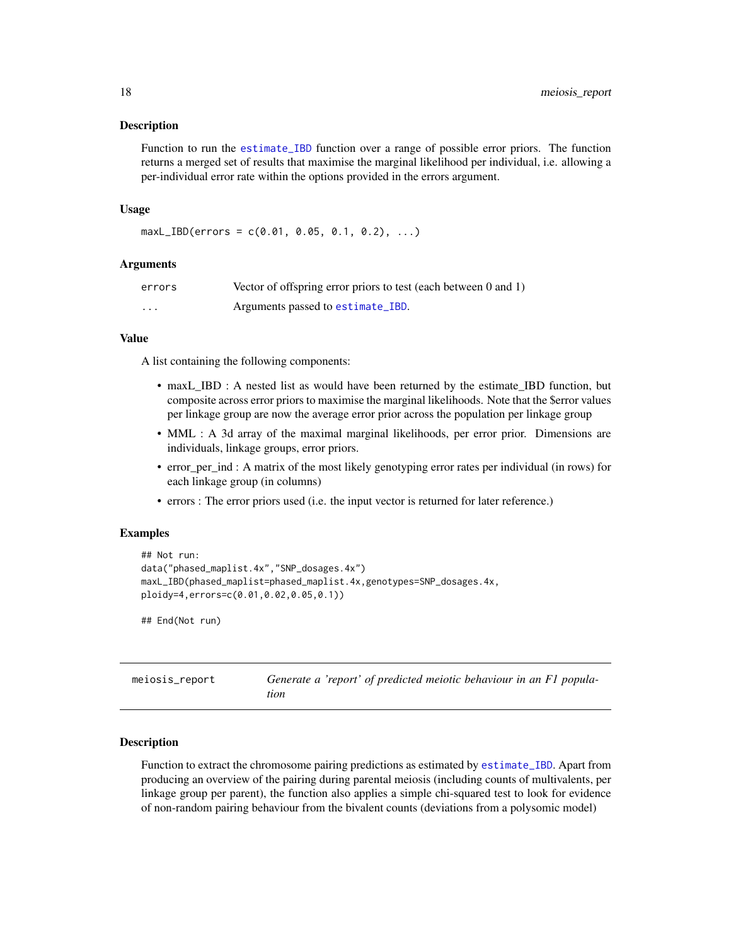<span id="page-17-0"></span>Function to run the [estimate\\_IBD](#page-7-1) function over a range of possible error priors. The function returns a merged set of results that maximise the marginal likelihood per individual, i.e. allowing a per-individual error rate within the options provided in the errors argument.

#### Usage

```
maxL_{IBD}(errors = c(0.01, 0.05, 0.1, 0.2), ...)
```
#### Arguments

| errors | Vector of offspring error priors to test (each between 0 and 1) |
|--------|-----------------------------------------------------------------|
| .      | Arguments passed to estimate_IBD.                               |

#### Value

A list containing the following components:

- maxL\_IBD : A nested list as would have been returned by the estimate\_IBD function, but composite across error priors to maximise the marginal likelihoods. Note that the \$error values per linkage group are now the average error prior across the population per linkage group
- MML : A 3d array of the maximal marginal likelihoods, per error prior. Dimensions are individuals, linkage groups, error priors.
- error\_per\_ind : A matrix of the most likely genotyping error rates per individual (in rows) for each linkage group (in columns)
- errors : The error priors used (i.e. the input vector is returned for later reference.)

#### Examples

```
## Not run:
data("phased_maplist.4x","SNP_dosages.4x")
maxL_IBD(phased_maplist=phased_maplist.4x,genotypes=SNP_dosages.4x,
ploidy=4,errors=c(0.01,0.02,0.05,0.1))
```
## End(Not run)

<span id="page-17-1"></span>meiosis\_report *Generate a 'report' of predicted meiotic behaviour in an F1 population*

#### Description

Function to extract the chromosome pairing predictions as estimated by estimate IBD. Apart from producing an overview of the pairing during parental meiosis (including counts of multivalents, per linkage group per parent), the function also applies a simple chi-squared test to look for evidence of non-random pairing behaviour from the bivalent counts (deviations from a polysomic model)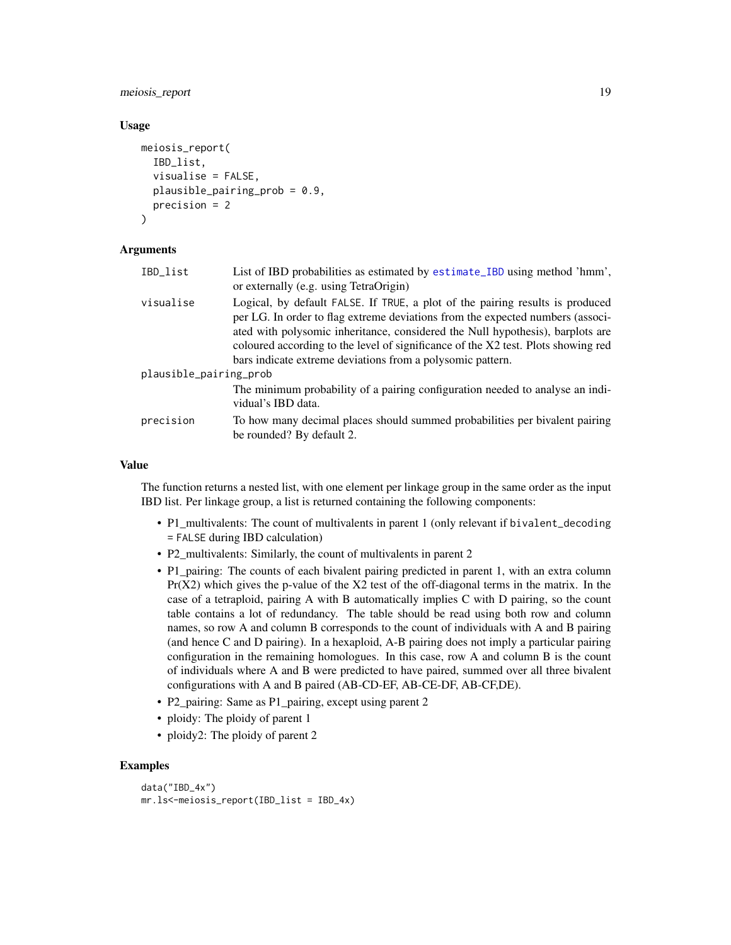# <span id="page-18-0"></span>meiosis\_report 19

#### Usage

```
meiosis_report(
  IBD_list,
  visualise = FALSE,
  plausible_pairing_prob = 0.9,
  precision = 2
\lambda
```
#### Arguments

| IBD_list               | List of IBD probabilities as estimated by estimate_IBD using method 'hmm',<br>or externally (e.g. using TetraOrigin)                                                                                                                                                                                                                                                                                 |  |
|------------------------|------------------------------------------------------------------------------------------------------------------------------------------------------------------------------------------------------------------------------------------------------------------------------------------------------------------------------------------------------------------------------------------------------|--|
| visualise              | Logical, by default FALSE. If TRUE, a plot of the pairing results is produced<br>per LG. In order to flag extreme deviations from the expected numbers (associ-<br>ated with polysomic inheritance, considered the Null hypothesis), barplots are<br>coloured according to the level of significance of the X2 test. Plots showing red<br>bars indicate extreme deviations from a polysomic pattern. |  |
| plausible_pairing_prob |                                                                                                                                                                                                                                                                                                                                                                                                      |  |
|                        | The minimum probability of a pairing configuration needed to analyse an indi-<br>vidual's IBD data.                                                                                                                                                                                                                                                                                                  |  |
| precision              | To how many decimal places should summed probabilities per bivalent pairing<br>be rounded? By default 2.                                                                                                                                                                                                                                                                                             |  |

#### Value

The function returns a nested list, with one element per linkage group in the same order as the input IBD list. Per linkage group, a list is returned containing the following components:

- P1\_multivalents: The count of multivalents in parent 1 (only relevant if bivalent\_decoding = FALSE during IBD calculation)
- P2\_multivalents: Similarly, the count of multivalents in parent 2
- P1\_pairing: The counts of each bivalent pairing predicted in parent 1, with an extra column  $Pr(X2)$  which gives the p-value of the  $X2$  test of the off-diagonal terms in the matrix. In the case of a tetraploid, pairing A with B automatically implies C with D pairing, so the count table contains a lot of redundancy. The table should be read using both row and column names, so row A and column B corresponds to the count of individuals with A and B pairing (and hence C and D pairing). In a hexaploid, A-B pairing does not imply a particular pairing configuration in the remaining homologues. In this case, row A and column B is the count of individuals where A and B were predicted to have paired, summed over all three bivalent configurations with A and B paired (AB-CD-EF, AB-CE-DF, AB-CF,DE).
- P2\_pairing: Same as P1\_pairing, except using parent 2
- ploidy: The ploidy of parent 1
- ploidy2: The ploidy of parent 2

#### Examples

```
data("IBD_4x")
mr.ls<-meiosis_report(IBD_list = IBD_4x)
```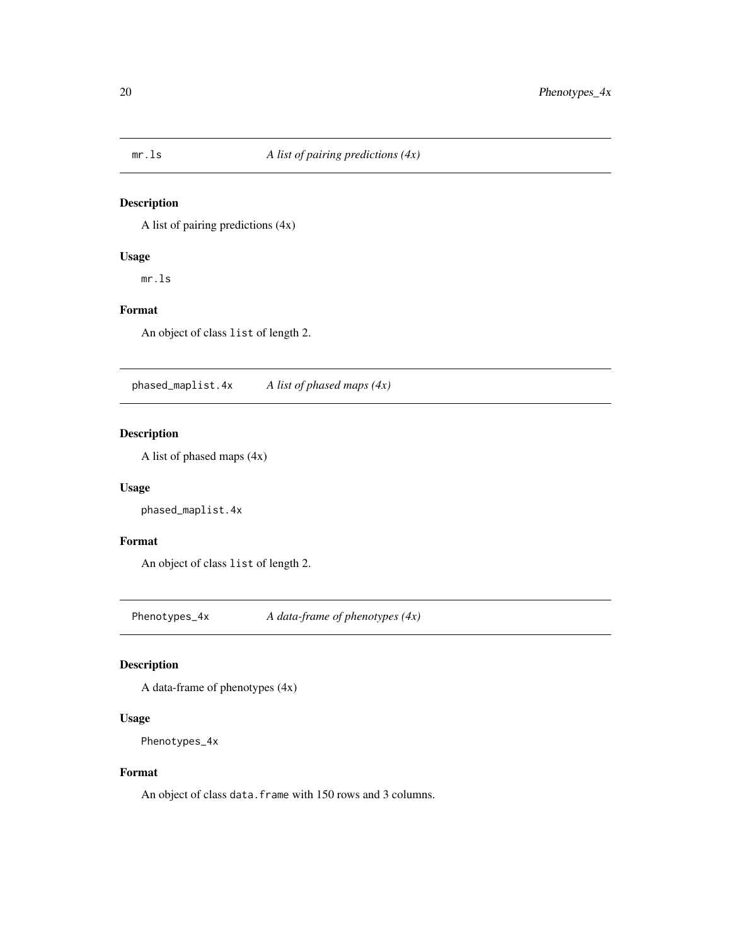<span id="page-19-0"></span>

A list of pairing predictions (4x)

# Usage

mr.ls

# Format

An object of class list of length 2.

phased\_maplist.4x *A list of phased maps (4x)*

# Description

A list of phased maps (4x)

# Usage

phased\_maplist.4x

#### Format

An object of class list of length 2.

Phenotypes\_4x *A data-frame of phenotypes (4x)*

#### Description

A data-frame of phenotypes (4x)

# Usage

```
Phenotypes_4x
```
#### Format

An object of class data. frame with 150 rows and 3 columns.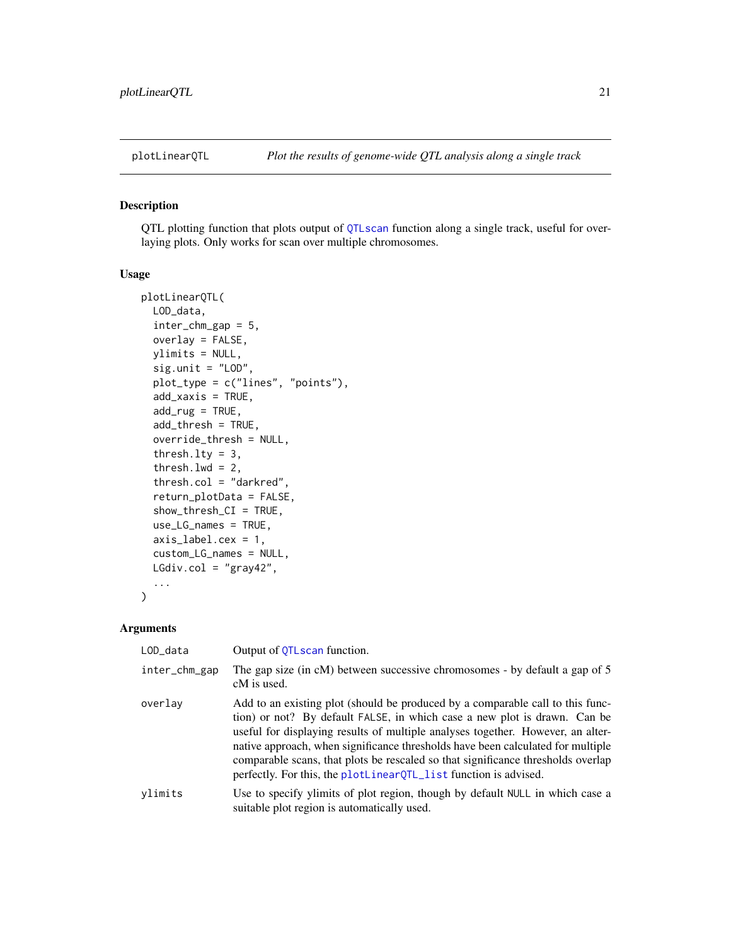<span id="page-20-1"></span><span id="page-20-0"></span>

QTL plotting function that plots output of [QTLscan](#page-28-1) function along a single track, useful for overlaying plots. Only works for scan over multiple chromosomes.

# Usage

```
plotLinearQTL(
 LOD_data,
  inter_chm_gap = 5,
  overlay = FALSE,
 ylimits = NULL,
  sig.unit = "LOD",
 plot_type = c("lines", "points"),
  add_xaxis = TRUE,
  add_rug = TRUE,add_thresh = TRUE,
  override_thresh = NULL,
  thresh.lty = 3,
  thresh.lwd = 2,
  thresh.col = "darkred",
  return_plotData = FALSE,
  show_thresh_CI = TRUE,
  use_LG_names = TRUE,
  axis_label.cex = 1,
  custom_LG_names = NULL,
 LGdiv.col = "gray42",
  ...
)
```

| LOD_data      | Output of QTLscan function.                                                                                                                                                                                                                                                                                                                                                                                                                                                               |
|---------------|-------------------------------------------------------------------------------------------------------------------------------------------------------------------------------------------------------------------------------------------------------------------------------------------------------------------------------------------------------------------------------------------------------------------------------------------------------------------------------------------|
| inter_chm_gap | The gap size (in cM) between successive chromosomes - by default a gap of 5<br>cM is used.                                                                                                                                                                                                                                                                                                                                                                                                |
| overlay       | Add to an existing plot (should be produced by a comparable call to this func-<br>tion) or not? By default FALSE, in which case a new plot is drawn. Can be<br>useful for displaying results of multiple analyses together. However, an alter-<br>native approach, when significance thresholds have been calculated for multiple<br>comparable scans, that plots be rescaled so that significance thresholds overlap<br>perfectly. For this, the plotLinearQTL_list function is advised. |
| vlimits       | Use to specify ylimits of plot region, though by default NULL in which case a<br>suitable plot region is automatically used.                                                                                                                                                                                                                                                                                                                                                              |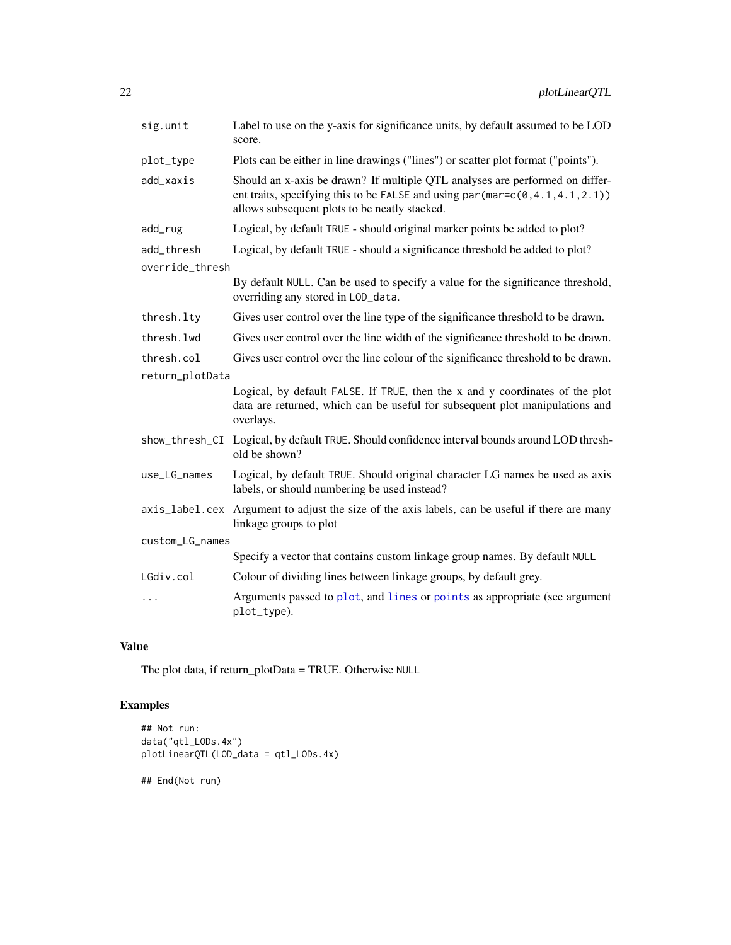<span id="page-21-0"></span>

| sig.unit        | Label to use on the y-axis for significance units, by default assumed to be LOD<br>score.                                                                                                                                   |
|-----------------|-----------------------------------------------------------------------------------------------------------------------------------------------------------------------------------------------------------------------------|
| plot_type       | Plots can be either in line drawings ("lines") or scatter plot format ("points").                                                                                                                                           |
| add_xaxis       | Should an x-axis be drawn? If multiple QTL analyses are performed on differ-<br>ent traits, specifying this to be FALSE and using par $(\text{mar} = c(0, 4.1, 4.1, 2.1))$<br>allows subsequent plots to be neatly stacked. |
| add_rug         | Logical, by default TRUE - should original marker points be added to plot?                                                                                                                                                  |
| add_thresh      | Logical, by default TRUE - should a significance threshold be added to plot?                                                                                                                                                |
| override_thresh |                                                                                                                                                                                                                             |
|                 | By default NULL. Can be used to specify a value for the significance threshold,<br>overriding any stored in LOD_data.                                                                                                       |
| thresh.lty      | Gives user control over the line type of the significance threshold to be drawn.                                                                                                                                            |
| thresh.lwd      | Gives user control over the line width of the significance threshold to be drawn.                                                                                                                                           |
| thresh.col      | Gives user control over the line colour of the significance threshold to be drawn.                                                                                                                                          |
| return_plotData |                                                                                                                                                                                                                             |
|                 | Logical, by default FALSE. If TRUE, then the x and y coordinates of the plot<br>data are returned, which can be useful for subsequent plot manipulations and<br>overlays.                                                   |
|                 | show_thresh_CI Logical, by default TRUE. Should confidence interval bounds around LOD thresh-<br>old be shown?                                                                                                              |
| use_LG_names    | Logical, by default TRUE. Should original character LG names be used as axis<br>labels, or should numbering be used instead?                                                                                                |
|                 | axis_label.cex Argument to adjust the size of the axis labels, can be useful if there are many<br>linkage groups to plot                                                                                                    |
| custom_LG_names |                                                                                                                                                                                                                             |
|                 | Specify a vector that contains custom linkage group names. By default NULL                                                                                                                                                  |
| LGdiv.col       | Colour of dividing lines between linkage groups, by default grey.                                                                                                                                                           |
| .               | Arguments passed to plot, and lines or points as appropriate (see argument<br>plot_type).                                                                                                                                   |

# Value

The plot data, if return\_plotData = TRUE. Otherwise NULL

# Examples

```
## Not run:
data("qtl_LODs.4x")
plotLinearQTL(LOD_data = qtl_LODs.4x)
```
## End(Not run)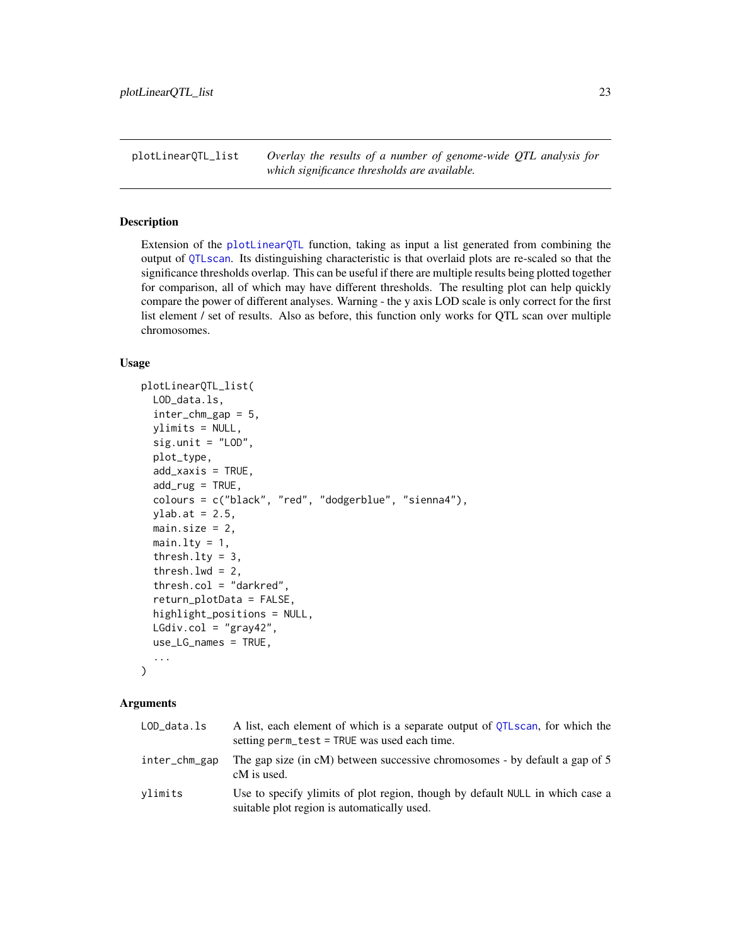<span id="page-22-1"></span><span id="page-22-0"></span>plotLinearQTL\_list *Overlay the results of a number of genome-wide QTL analysis for which significance thresholds are available.*

#### Description

Extension of the [plotLinearQTL](#page-20-1) function, taking as input a list generated from combining the output of [QTLscan](#page-28-1). Its distinguishing characteristic is that overlaid plots are re-scaled so that the significance thresholds overlap. This can be useful if there are multiple results being plotted together for comparison, all of which may have different thresholds. The resulting plot can help quickly compare the power of different analyses. Warning - the y axis LOD scale is only correct for the first list element / set of results. Also as before, this function only works for QTL scan over multiple chromosomes.

### Usage

```
plotLinearQTL_list(
  LOD_data.ls,
  inter_chm_gap = 5,
  ylimits = NULL,
  sig.unit = "LOD",plot_type,
  add_xaxis = TRUE,
  add_rug = TRUE,
  colours = c("black", "red", "dodgerblue", "sienna4"),
  ylab.at = 2.5,
  main.size = 2,
  main.lty = 1,
  thresh.lty = 3,
  thresh.lwd = 2,
  thresh.col = "darkred",
  return_plotData = FALSE,
  highlight_positions = NULL,
  LGdiv.col = "gray42",use_LG_names = TRUE,
  ...
\lambda
```

| LOD_data.ls   | A list, each element of which is a separate output of OTLscan, for which the<br>setting perm_test = TRUE was used each time. |
|---------------|------------------------------------------------------------------------------------------------------------------------------|
| inter_chm_gap | The gap size (in cM) between successive chromosomes - by default a gap of 5<br>cM is used.                                   |
| ylimits       | Use to specify ylimits of plot region, though by default NULL in which case a<br>suitable plot region is automatically used. |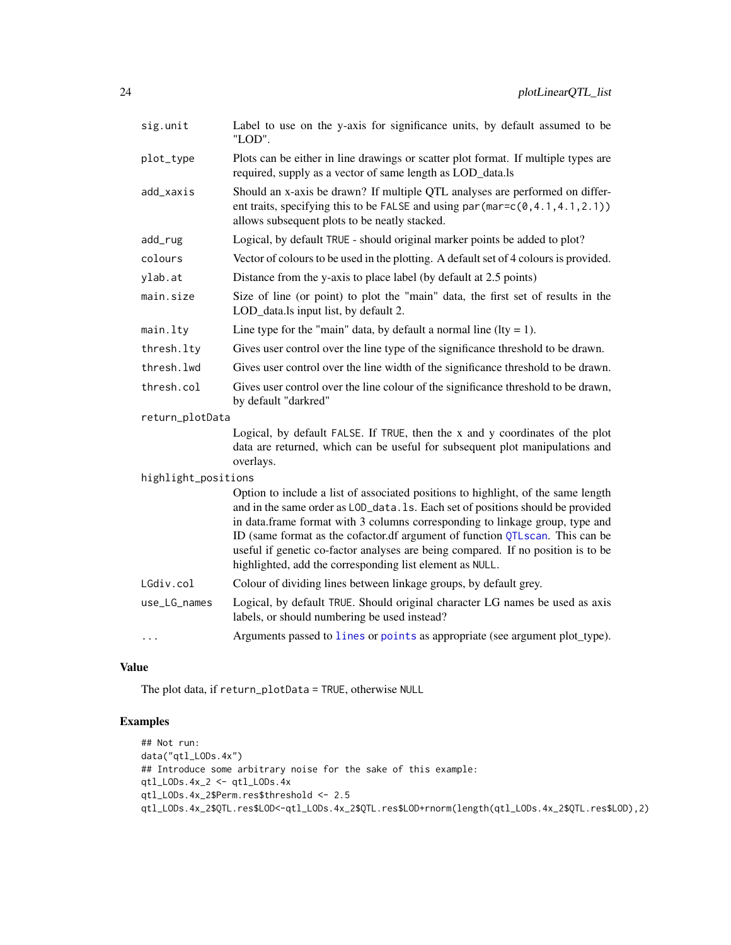<span id="page-23-0"></span>

| sig.unit            | Label to use on the y-axis for significance units, by default assumed to be<br>"LOD".                                                                                                                                                                                                                                                                                                                                                                                                |
|---------------------|--------------------------------------------------------------------------------------------------------------------------------------------------------------------------------------------------------------------------------------------------------------------------------------------------------------------------------------------------------------------------------------------------------------------------------------------------------------------------------------|
| plot_type           | Plots can be either in line drawings or scatter plot format. If multiple types are<br>required, supply as a vector of same length as LOD_data.ls                                                                                                                                                                                                                                                                                                                                     |
| add_xaxis           | Should an x-axis be drawn? If multiple QTL analyses are performed on differ-<br>ent traits, specifying this to be FALSE and using par $(\text{mar} = c(0, 4.1, 4.1, 2.1))$<br>allows subsequent plots to be neatly stacked.                                                                                                                                                                                                                                                          |
| add_rug             | Logical, by default TRUE - should original marker points be added to plot?                                                                                                                                                                                                                                                                                                                                                                                                           |
| colours             | Vector of colours to be used in the plotting. A default set of 4 colours is provided.                                                                                                                                                                                                                                                                                                                                                                                                |
| ylab.at             | Distance from the y-axis to place label (by default at 2.5 points)                                                                                                                                                                                                                                                                                                                                                                                                                   |
| main.size           | Size of line (or point) to plot the "main" data, the first set of results in the<br>LOD_data.ls input list, by default 2.                                                                                                                                                                                                                                                                                                                                                            |
| main.lty            | Line type for the "main" data, by default a normal line ( $lty = 1$ ).                                                                                                                                                                                                                                                                                                                                                                                                               |
| thresh.lty          | Gives user control over the line type of the significance threshold to be drawn.                                                                                                                                                                                                                                                                                                                                                                                                     |
| thresh.lwd          | Gives user control over the line width of the significance threshold to be drawn.                                                                                                                                                                                                                                                                                                                                                                                                    |
| thresh.col          | Gives user control over the line colour of the significance threshold to be drawn,<br>by default "darkred"                                                                                                                                                                                                                                                                                                                                                                           |
| return_plotData     |                                                                                                                                                                                                                                                                                                                                                                                                                                                                                      |
|                     | Logical, by default FALSE. If TRUE, then the x and y coordinates of the plot<br>data are returned, which can be useful for subsequent plot manipulations and<br>overlays.                                                                                                                                                                                                                                                                                                            |
| highlight_positions |                                                                                                                                                                                                                                                                                                                                                                                                                                                                                      |
|                     | Option to include a list of associated positions to highlight, of the same length<br>and in the same order as LOD_data. 1s. Each set of positions should be provided<br>in data.frame format with 3 columns corresponding to linkage group, type and<br>ID (same format as the cofactor.df argument of function QTLscan. This can be<br>useful if genetic co-factor analyses are being compared. If no position is to be<br>highlighted, add the corresponding list element as NULL. |
| LGdiv.col           | Colour of dividing lines between linkage groups, by default grey.                                                                                                                                                                                                                                                                                                                                                                                                                    |
| use_LG_names        | Logical, by default TRUE. Should original character LG names be used as axis<br>labels, or should numbering be used instead?                                                                                                                                                                                                                                                                                                                                                         |
| .                   | Arguments passed to lines or points as appropriate (see argument plot_type).                                                                                                                                                                                                                                                                                                                                                                                                         |

# Value

The plot data, if return\_plotData = TRUE, otherwise NULL

# Examples

```
## Not run:
data("qtl_LODs.4x")
## Introduce some arbitrary noise for the sake of this example:
qtl_LODs.4x_2 <- qtl_LODs.4x
qtl_LODs.4x_2$Perm.res$threshold <- 2.5
qtl_LODs.4x_2$QTL.res$LOD<-qtl_LODs.4x_2$QTL.res$LOD+rnorm(length(qtl_LODs.4x_2$QTL.res$LOD),2)
```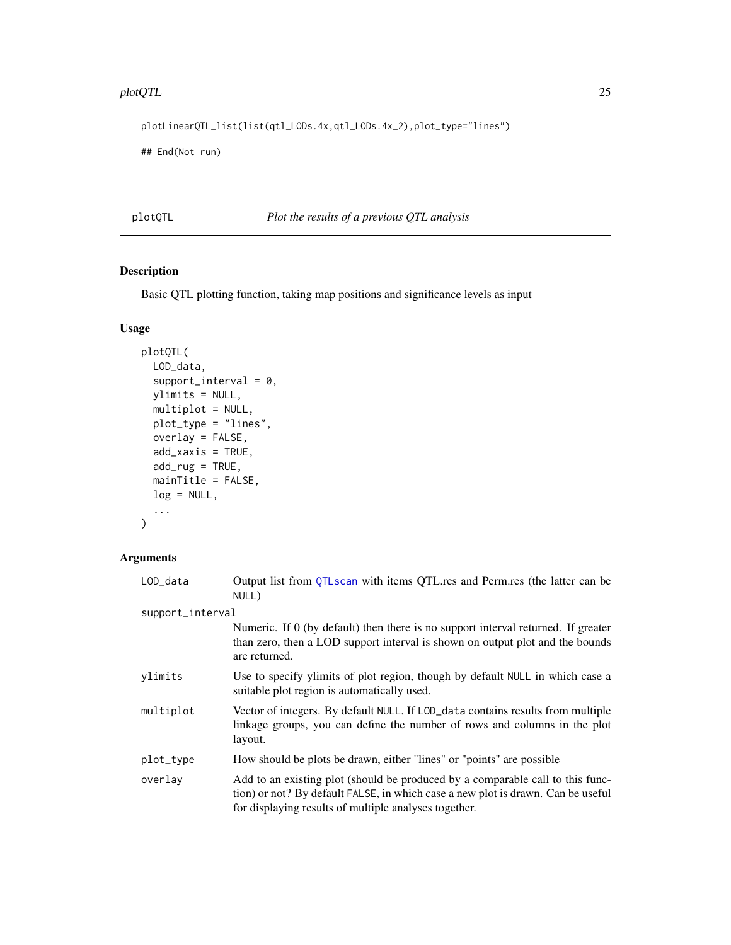#### <span id="page-24-0"></span>plotQTL 25

plotLinearQTL\_list(list(qtl\_LODs.4x,qtl\_LODs.4x\_2),plot\_type="lines")

## End(Not run)

plotQTL *Plot the results of a previous QTL analysis*

# Description

Basic QTL plotting function, taking map positions and significance levels as input

# Usage

```
plotQTL(
 LOD_data,
  support\_interval = 0,
 ylimits = NULL,
 multiplot = NULL,
 plot_type = "lines",
 overlay = FALSE,
 add_xaxis = TRUE,
  add_rug = TRUE,
 mainTitle = FALSE,
 log = NULL,...
)
```

| LOD_data         | Output list from QTLscan with items QTL.res and Perm.res (the latter can be<br>NULL)                                                                                                                                        |
|------------------|-----------------------------------------------------------------------------------------------------------------------------------------------------------------------------------------------------------------------------|
| support_interval |                                                                                                                                                                                                                             |
|                  | Numeric. If 0 (by default) then there is no support interval returned. If greater<br>than zero, then a LOD support interval is shown on output plot and the bounds<br>are returned.                                         |
| ylimits          | Use to specify ylimits of plot region, though by default NULL in which case a<br>suitable plot region is automatically used.                                                                                                |
| multiplot        | Vector of integers. By default NULL. If LOD_data contains results from multiple<br>linkage groups, you can define the number of rows and columns in the plot<br>layout.                                                     |
| plot_type        | How should be plots be drawn, either "lines" or "points" are possible                                                                                                                                                       |
| overlay          | Add to an existing plot (should be produced by a comparable call to this func-<br>tion) or not? By default FALSE, in which case a new plot is drawn. Can be useful<br>for displaying results of multiple analyses together. |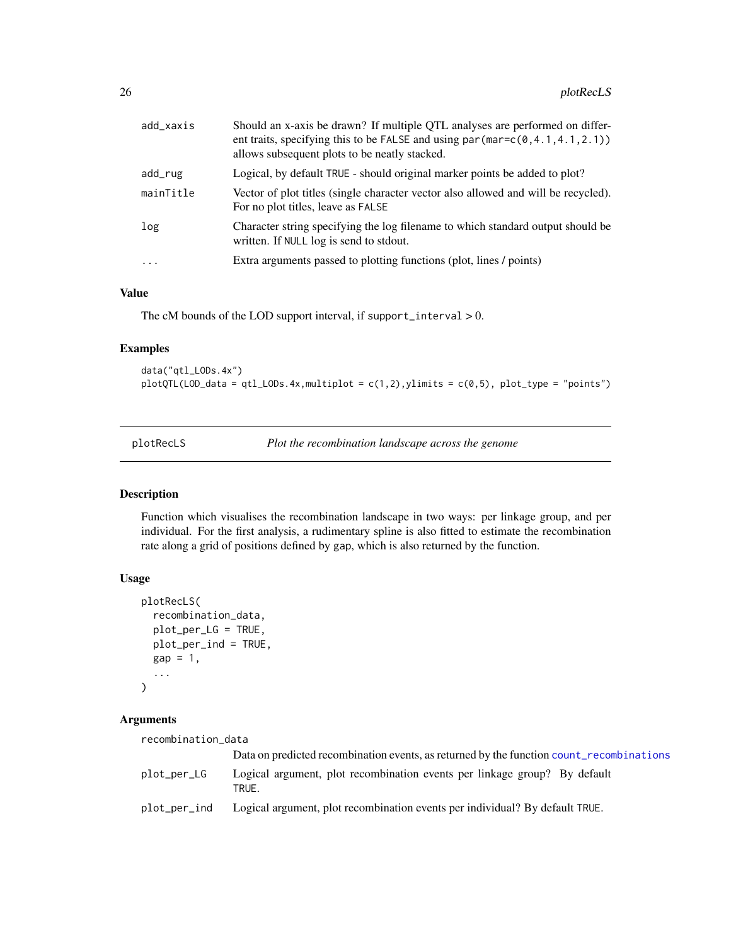<span id="page-25-0"></span>

| Logical, by default TRUE - should original marker points be added to plot?<br>Vector of plot titles (single character vector also allowed and will be recycled).<br>For no plot titles, leave as FALSE<br>Character string specifying the log filename to which standard output should be<br>written. If NULL log is send to stdout.<br>Extra arguments passed to plotting functions (plot, lines / points)<br>$\ddotsc$ | add_xaxis | Should an x-axis be drawn? If multiple QTL analyses are performed on differ-<br>ent traits, specifying this to be FALSE and using $par(max=c(0,4.1,4.1,2.1))$<br>allows subsequent plots to be neatly stacked. |
|--------------------------------------------------------------------------------------------------------------------------------------------------------------------------------------------------------------------------------------------------------------------------------------------------------------------------------------------------------------------------------------------------------------------------|-----------|----------------------------------------------------------------------------------------------------------------------------------------------------------------------------------------------------------------|
|                                                                                                                                                                                                                                                                                                                                                                                                                          | add_rug   |                                                                                                                                                                                                                |
|                                                                                                                                                                                                                                                                                                                                                                                                                          | mainTitle |                                                                                                                                                                                                                |
|                                                                                                                                                                                                                                                                                                                                                                                                                          | log       |                                                                                                                                                                                                                |
|                                                                                                                                                                                                                                                                                                                                                                                                                          |           |                                                                                                                                                                                                                |

#### Value

The cM bounds of the LOD support interval, if support\_interval  $> 0$ .

# Examples

data("qtl\_LODs.4x")  $plotQTL(LOD_data = qt1_LODs.4x, multiplot = c(1,2), ylimits = c(0,5), plot_type = "points")$ 

<span id="page-25-1"></span>plotRecLS *Plot the recombination landscape across the genome*

#### Description

Function which visualises the recombination landscape in two ways: per linkage group, and per individual. For the first analysis, a rudimentary spline is also fitted to estimate the recombination rate along a grid of positions defined by gap, which is also returned by the function.

# Usage

```
plotRecLS(
  recombination_data,
 plot_per_LG = TRUE,
 plot_per_ind = TRUE,
 gap = 1,...
)
```
# Arguments

recombination\_data

|              | Data on predicted recombination events, as returned by the function count_recombinations |
|--------------|------------------------------------------------------------------------------------------|
| plot_per_LG  | Logical argument, plot recombination events per linkage group? By default<br>TRUE.       |
| plot_per_ind | Logical argument, plot recombination events per individual? By default TRUE.             |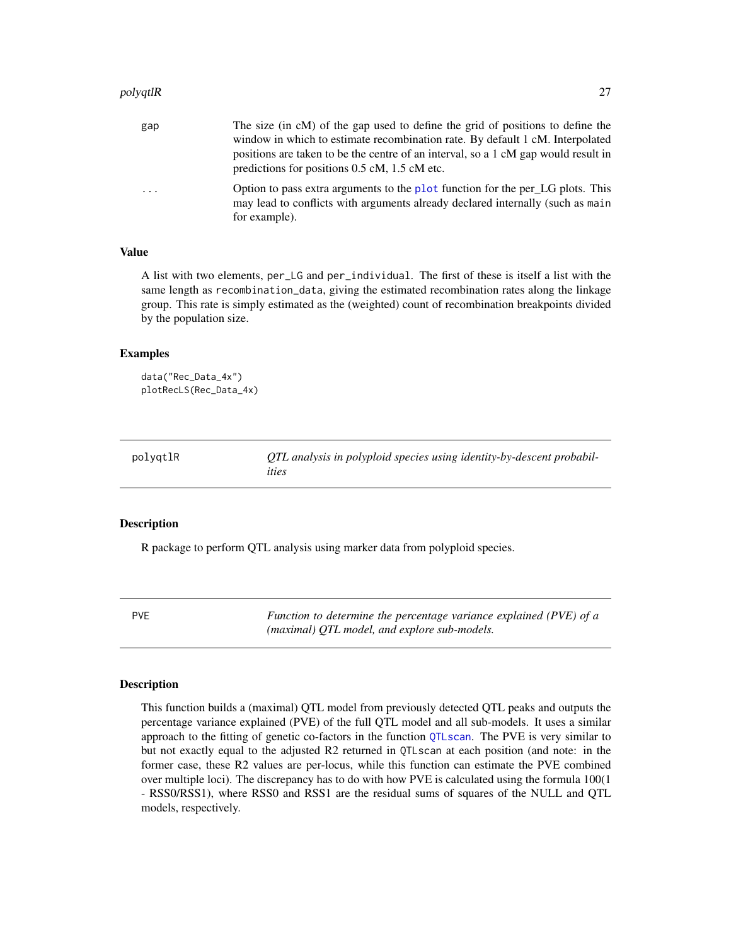#### <span id="page-26-0"></span>polyqtlR 27

| gap | The size (in cM) of the gap used to define the grid of positions to define the                                                                                                    |
|-----|-----------------------------------------------------------------------------------------------------------------------------------------------------------------------------------|
|     | window in which to estimate recombination rate. By default 1 cM. Interpolated                                                                                                     |
|     | positions are taken to be the centre of an interval, so a 1 cM gap would result in                                                                                                |
|     | predictions for positions 0.5 cM, 1.5 cM etc.                                                                                                                                     |
| .   | Option to pass extra arguments to the plot function for the per LG plots. This<br>may lead to conflicts with arguments already declared internally (such as main<br>for example). |
|     |                                                                                                                                                                                   |

#### Value

A list with two elements, per\_LG and per\_individual. The first of these is itself a list with the same length as recombination\_data, giving the estimated recombination rates along the linkage group. This rate is simply estimated as the (weighted) count of recombination breakpoints divided by the population size.

#### Examples

```
data("Rec_Data_4x")
plotRecLS(Rec_Data_4x)
```

| polygtlR | QTL analysis in polyploid species using identity-by-descent probabil- |
|----------|-----------------------------------------------------------------------|
|          | ities                                                                 |

#### Description

R package to perform QTL analysis using marker data from polyploid species.

<span id="page-26-1"></span>PVE *Function to determine the percentage variance explained (PVE) of a (maximal) QTL model, and explore sub-models.*

# **Description**

This function builds a (maximal) QTL model from previously detected QTL peaks and outputs the percentage variance explained (PVE) of the full QTL model and all sub-models. It uses a similar approach to the fitting of genetic co-factors in the function [QTLscan](#page-28-1). The PVE is very similar to but not exactly equal to the adjusted R2 returned in QTLscan at each position (and note: in the former case, these R2 values are per-locus, while this function can estimate the PVE combined over multiple loci). The discrepancy has to do with how PVE is calculated using the formula 100(1 - RSS0/RSS1), where RSS0 and RSS1 are the residual sums of squares of the NULL and QTL models, respectively.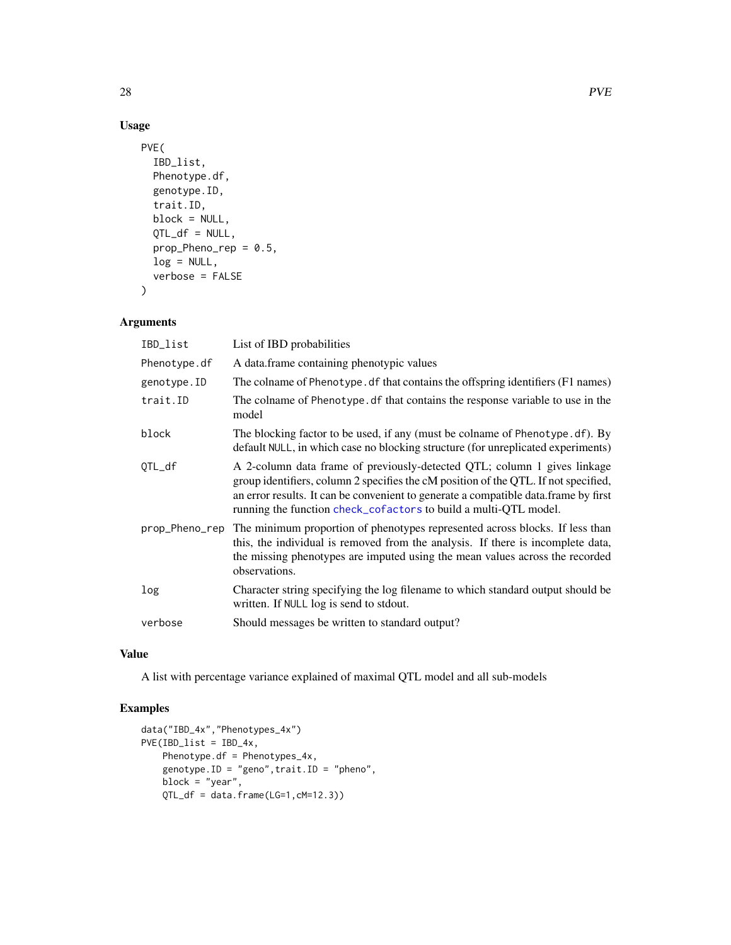# Usage

```
PVE(
  IBD_list,
 Phenotype.df,
  genotype.ID,
  trait.ID,
 block = NULL,
 QTL_df = NULL,prop_Pheno_rep = 0.5,
 log = NULL,verbose = FALSE
)
```
# Arguments

| IBD_list       | List of IBD probabilities                                                                                                                                                                                                                                                                                                  |
|----------------|----------------------------------------------------------------------------------------------------------------------------------------------------------------------------------------------------------------------------------------------------------------------------------------------------------------------------|
| Phenotype.df   | A data.frame containing phenotypic values                                                                                                                                                                                                                                                                                  |
| genotype.ID    | The colname of Phenotype. df that contains the offspring identifiers (F1 names)                                                                                                                                                                                                                                            |
| trait.ID       | The colname of Phenotype. df that contains the response variable to use in the<br>model                                                                                                                                                                                                                                    |
| block          | The blocking factor to be used, if any (must be colname of Phenotype. df). By<br>default NULL, in which case no blocking structure (for unreplicated experiments)                                                                                                                                                          |
| QTL_df         | A 2-column data frame of previously-detected QTL; column 1 gives linkage<br>group identifiers, column 2 specifies the cM position of the QTL. If not specified,<br>an error results. It can be convenient to generate a compatible data.frame by first<br>running the function check_cofactors to build a multi-QTL model. |
| prop_Pheno_rep | The minimum proportion of phenotypes represented across blocks. If less than<br>this, the individual is removed from the analysis. If there is incomplete data,<br>the missing phenotypes are imputed using the mean values across the recorded<br>observations.                                                           |
| log            | Character string specifying the log filename to which standard output should be<br>written. If NULL log is send to stdout.                                                                                                                                                                                                 |
| verbose        | Should messages be written to standard output?                                                                                                                                                                                                                                                                             |

#### Value

A list with percentage variance explained of maximal QTL model and all sub-models

# Examples

```
data("IBD_4x","Phenotypes_4x")
PVE(IBD_list = IBD_4x,
   Phenotype.df = Phenotypes_4x,
   genotype.ID = "geno",trait.ID = "pheno",
   block = "year",
   QTL_df = data.frame(LG=1, cM=12.3))
```
<span id="page-27-0"></span>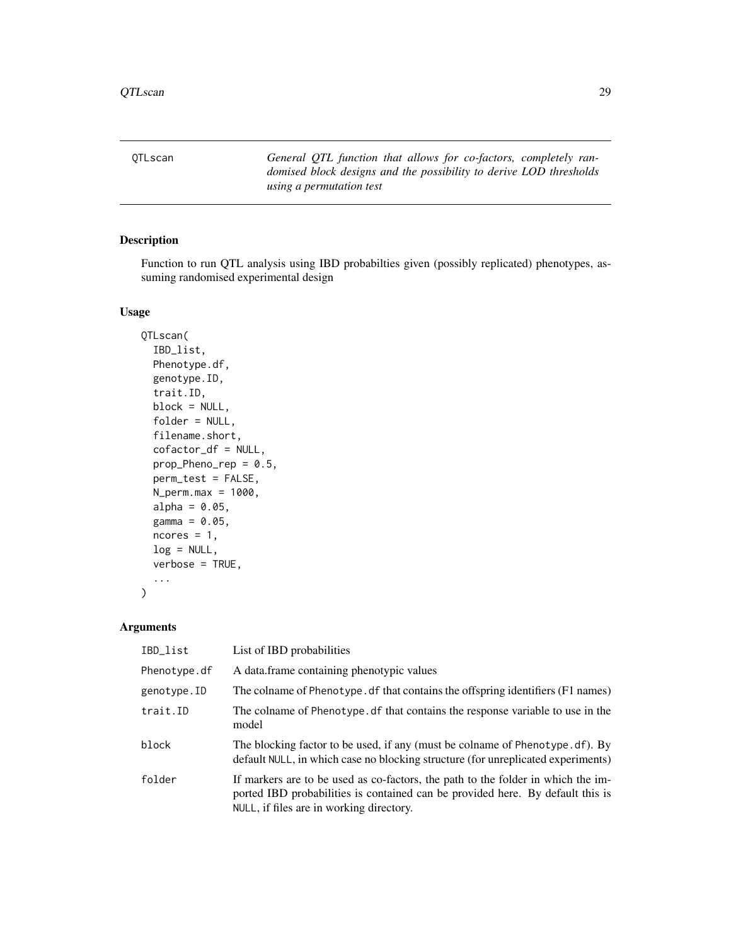<span id="page-28-1"></span><span id="page-28-0"></span>QTLscan *General QTL function that allows for co-factors, completely randomised block designs and the possibility to derive LOD thresholds using a permutation test*

# Description

Function to run QTL analysis using IBD probabilties given (possibly replicated) phenotypes, assuming randomised experimental design

# Usage

```
QTLscan(
  IBD_list,
  Phenotype.df,
  genotype.ID,
  trait.ID,
 block = NULL,
  folder = NULL,
  filename.short,
  cofactor_df = NULL,
  prop_Pheno_rep = 0.5,
  perm_test = FALSE,
 N_{perm.max} = 1000,alpha = 0.05,
  gamma = 0.05,
  ncores = 1,
  log = NULL,verbose = TRUE,
  ...
)
```

| IBD_list     | List of IBD probabilities                                                                                                                                                                                      |
|--------------|----------------------------------------------------------------------------------------------------------------------------------------------------------------------------------------------------------------|
| Phenotype.df | A data frame containing phenotypic values                                                                                                                                                                      |
| genotype.ID  | The colname of Phenotype. df that contains the offspring identifiers (F1 names)                                                                                                                                |
| trait.ID     | The colname of Phenotype. df that contains the response variable to use in the<br>model                                                                                                                        |
| block        | The blocking factor to be used, if any (must be colname of Phenotype.df). By<br>default NULL, in which case no blocking structure (for unreplicated experiments)                                               |
| folder       | If markers are to be used as co-factors, the path to the folder in which the im-<br>ported IBD probabilities is contained can be provided here. By default this is<br>NULL, if files are in working directory. |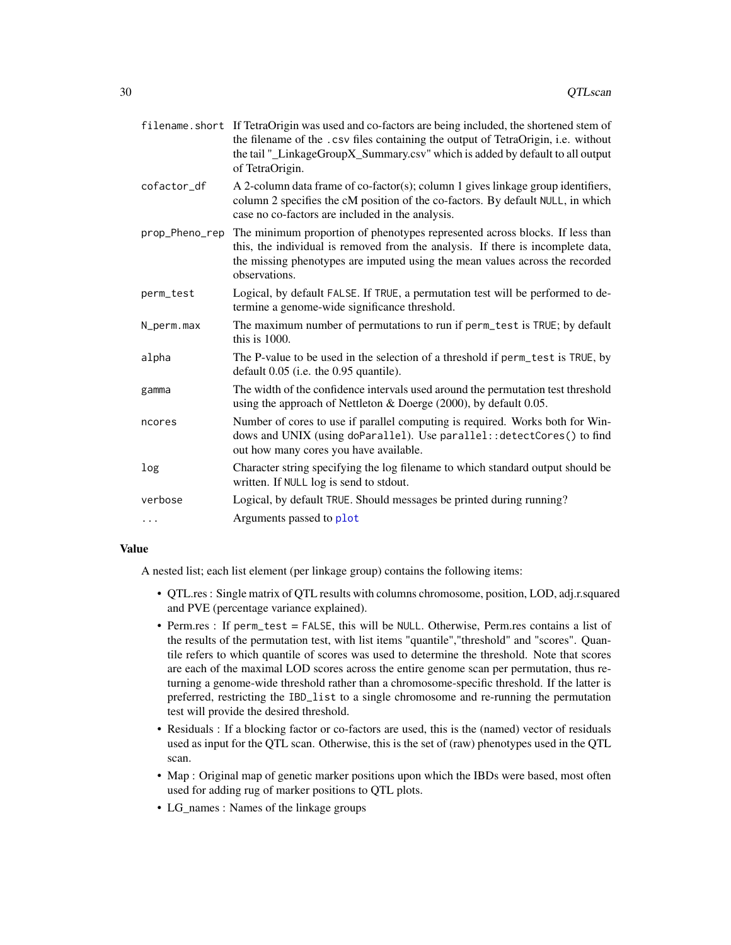<span id="page-29-0"></span>

|                | filename. short If TetraOrigin was used and co-factors are being included, the shortened stem of<br>the filename of the .csv files containing the output of TetraOrigin, i.e. without<br>the tail "_LinkageGroupX_Summary.csv" which is added by default to all output<br>of TetraOrigin. |
|----------------|-------------------------------------------------------------------------------------------------------------------------------------------------------------------------------------------------------------------------------------------------------------------------------------------|
| cofactor_df    | A 2-column data frame of co-factor(s); column 1 gives linkage group identifiers,<br>column 2 specifies the cM position of the co-factors. By default NULL, in which<br>case no co-factors are included in the analysis.                                                                   |
| prop_Pheno_rep | The minimum proportion of phenotypes represented across blocks. If less than<br>this, the individual is removed from the analysis. If there is incomplete data,<br>the missing phenotypes are imputed using the mean values across the recorded<br>observations.                          |
| perm_test      | Logical, by default FALSE. If TRUE, a permutation test will be performed to de-<br>termine a genome-wide significance threshold.                                                                                                                                                          |
| N_perm.max     | The maximum number of permutations to run if perm_test is TRUE; by default<br>this is 1000.                                                                                                                                                                                               |
| alpha          | The P-value to be used in the selection of a threshold if perm_test is TRUE, by<br>default 0.05 (i.e. the 0.95 quantile).                                                                                                                                                                 |
| gamma          | The width of the confidence intervals used around the permutation test threshold<br>using the approach of Nettleton & Doerge $(2000)$ , by default 0.05.                                                                                                                                  |
| ncores         | Number of cores to use if parallel computing is required. Works both for Win-<br>dows and UNIX (using doParallel). Use parallel: : detectCores() to find<br>out how many cores you have available.                                                                                        |
| log            | Character string specifying the log filename to which standard output should be<br>written. If NULL log is send to stdout.                                                                                                                                                                |
| verbose        | Logical, by default TRUE. Should messages be printed during running?                                                                                                                                                                                                                      |
| .              | Arguments passed to plot                                                                                                                                                                                                                                                                  |

# Value

A nested list; each list element (per linkage group) contains the following items:

- QTL.res : Single matrix of QTL results with columns chromosome, position, LOD, adj.r.squared and PVE (percentage variance explained).
- Perm.res : If perm\_test = FALSE, this will be NULL. Otherwise, Perm.res contains a list of the results of the permutation test, with list items "quantile","threshold" and "scores". Quantile refers to which quantile of scores was used to determine the threshold. Note that scores are each of the maximal LOD scores across the entire genome scan per permutation, thus returning a genome-wide threshold rather than a chromosome-specific threshold. If the latter is preferred, restricting the IBD\_list to a single chromosome and re-running the permutation test will provide the desired threshold.
- Residuals : If a blocking factor or co-factors are used, this is the (named) vector of residuals used as input for the QTL scan. Otherwise, this is the set of (raw) phenotypes used in the QTL scan.
- Map : Original map of genetic marker positions upon which the IBDs were based, most often used for adding rug of marker positions to QTL plots.
- LG\_names : Names of the linkage groups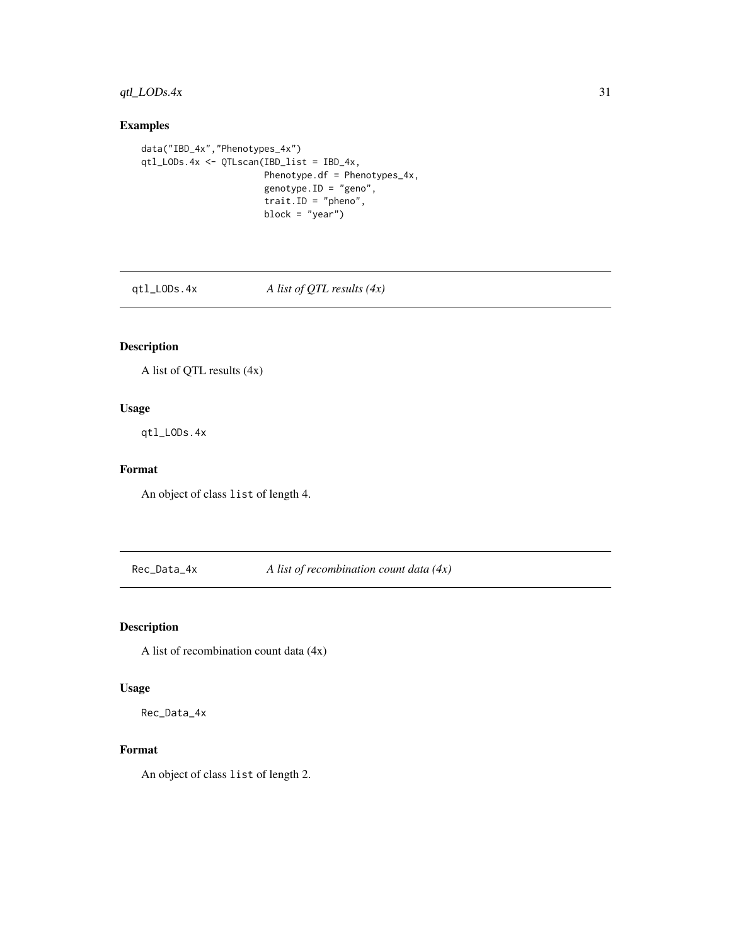# <span id="page-30-0"></span> $qtl\_LODs.4x$  31

# Examples

```
data("IBD_4x","Phenotypes_4x")
qtl_LODs.4x <- QTLscan(IBD_list = IBD_4x,
                       Phenotype.df = Phenotypes_4x,
                       genotype.ID = "geno",
                       trait.ID = "pheno",
                       block = "year")
```
qtl\_LODs.4x *A list of QTL results (4x)*

# Description

A list of QTL results (4x)

# Usage

qtl\_LODs.4x

# Format

An object of class list of length 4.

Rec\_Data\_4x *A list of recombination count data (4x)*

# Description

A list of recombination count data (4x)

# Usage

Rec\_Data\_4x

# Format

An object of class list of length 2.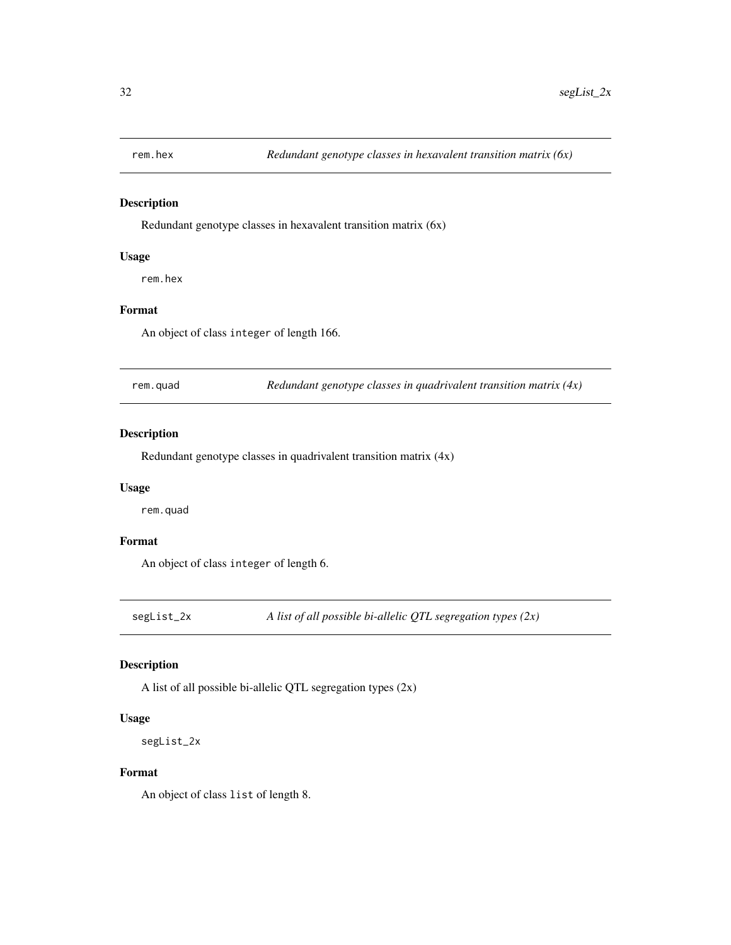<span id="page-31-0"></span>

Redundant genotype classes in hexavalent transition matrix (6x)

# Usage

rem.hex

# Format

An object of class integer of length 166.

rem.quad *Redundant genotype classes in quadrivalent transition matrix (4x)*

#### Description

Redundant genotype classes in quadrivalent transition matrix (4x)

# Usage

rem.quad

## Format

An object of class integer of length 6.

segList\_2x *A list of all possible bi-allelic QTL segregation types (2x)*

#### Description

A list of all possible bi-allelic QTL segregation types (2x)

#### Usage

segList\_2x

#### Format

An object of class list of length 8.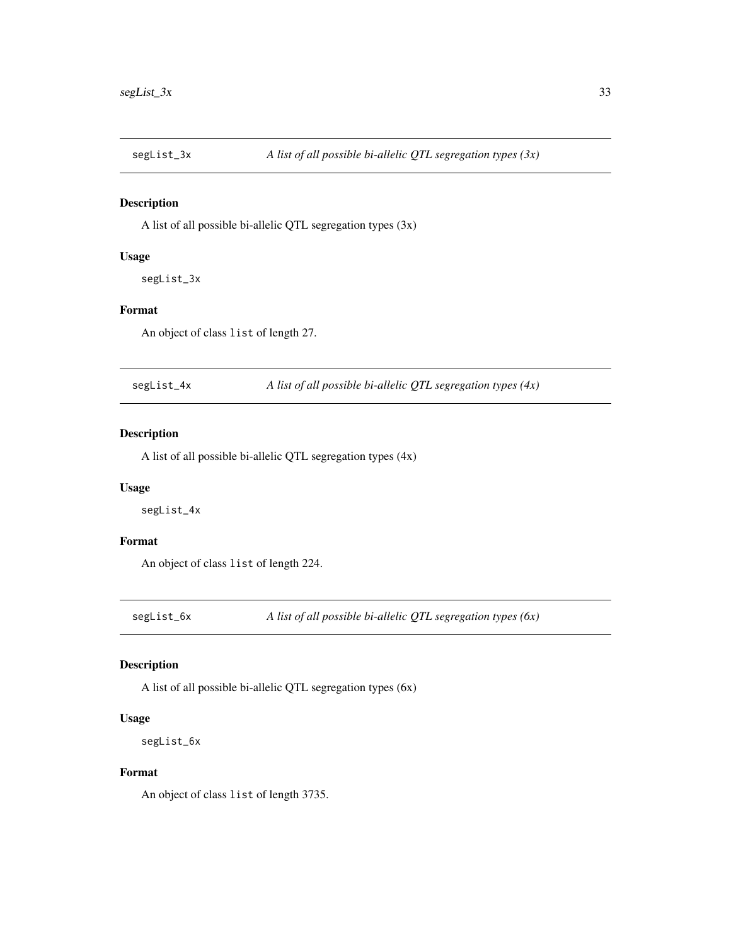<span id="page-32-0"></span>

A list of all possible bi-allelic QTL segregation types (3x)

# Usage

segList\_3x

# Format

An object of class list of length 27.

segList\_4x *A list of all possible bi-allelic QTL segregation types (4x)*

# Description

A list of all possible bi-allelic QTL segregation types (4x)

# Usage

segList\_4x

# Format

An object of class list of length 224.

segList\_6x *A list of all possible bi-allelic QTL segregation types (6x)*

#### Description

A list of all possible bi-allelic QTL segregation types (6x)

#### Usage

segList\_6x

#### Format

An object of class list of length 3735.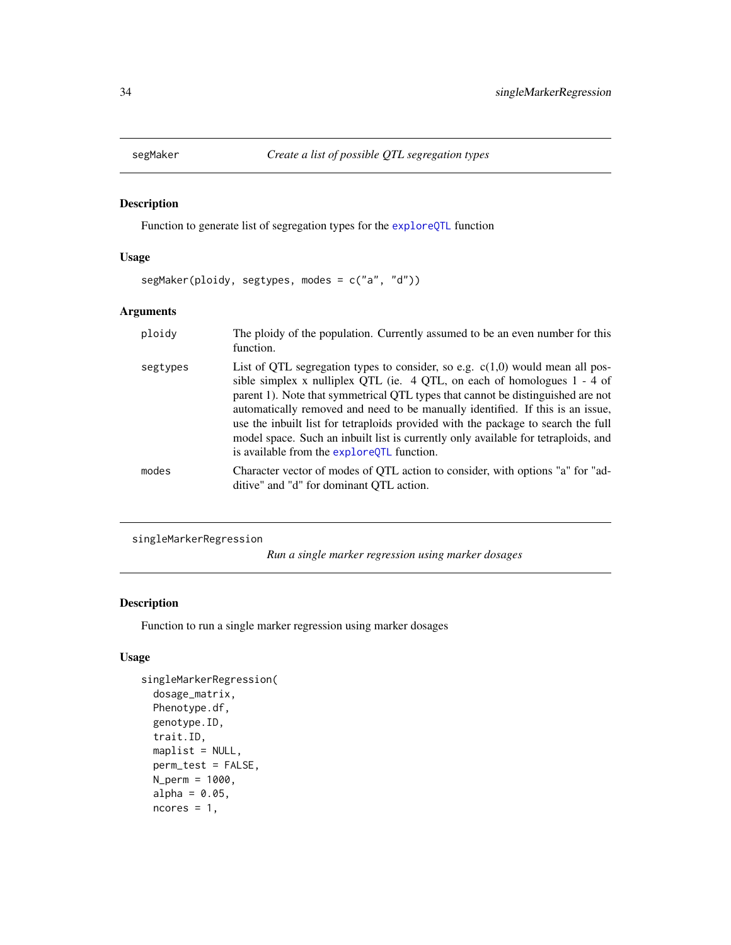<span id="page-33-1"></span><span id="page-33-0"></span>

Function to generate list of segregation types for the [exploreQTL](#page-10-1) function

# Usage

segMaker(ploidy, segtypes, modes = c("a", "d"))

### Arguments

| ploidy   | The ploidy of the population. Currently assumed to be an even number for this<br>function.                                                                                                                                                                                                                                                                                                                                                                                                                                                                   |
|----------|--------------------------------------------------------------------------------------------------------------------------------------------------------------------------------------------------------------------------------------------------------------------------------------------------------------------------------------------------------------------------------------------------------------------------------------------------------------------------------------------------------------------------------------------------------------|
| segtypes | List of QTL segregation types to consider, so e.g. $c(1,0)$ would mean all pos-<br>sible simplex x nulliplex QTL (ie. $4$ QTL, on each of homologues 1 - 4 of<br>parent 1). Note that symmetrical QTL types that cannot be distinguished are not<br>automatically removed and need to be manually identified. If this is an issue,<br>use the inbuilt list for tetraploids provided with the package to search the full<br>model space. Such an inbuilt list is currently only available for tetraploids, and<br>is available from the explore QTL function. |
| modes    | Character vector of modes of QTL action to consider, with options "a" for "ad-<br>ditive" and "d" for dominant OTL action.                                                                                                                                                                                                                                                                                                                                                                                                                                   |

```
singleMarkerRegression
```
*Run a single marker regression using marker dosages*

# Description

Function to run a single marker regression using marker dosages

### Usage

```
singleMarkerRegression(
  dosage_matrix,
 Phenotype.df,
 genotype.ID,
  trait.ID,
 maplist = NULL,
 perm_test = FALSE,
 N_perm = 1000,
  alpha = 0.05,
 ncores = 1,
```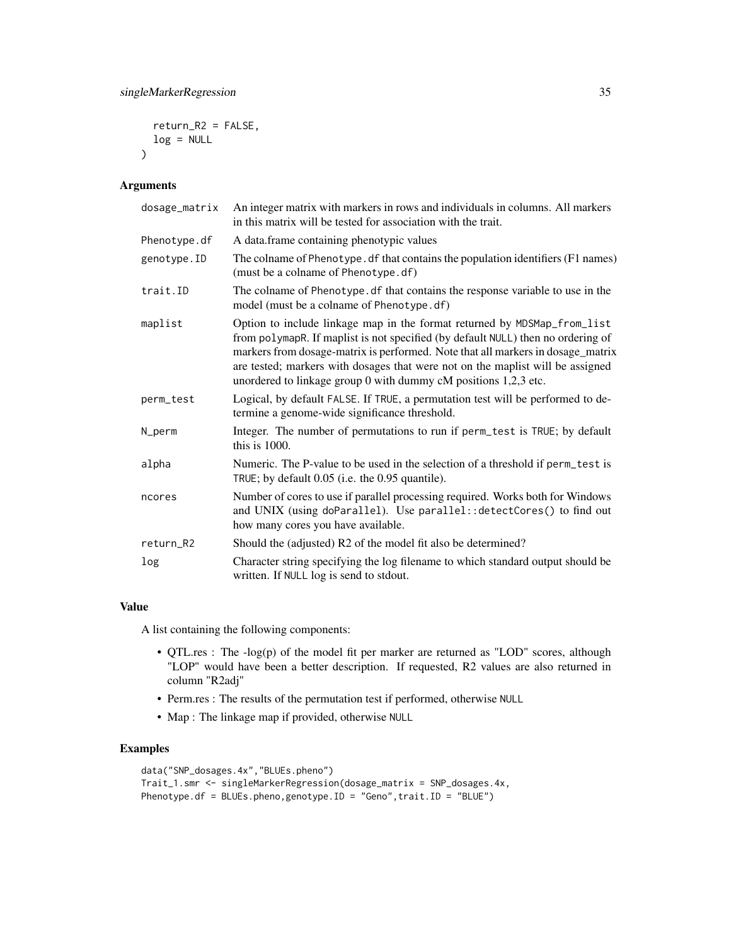return\_R2 = FALSE,  $log = NULL$  $\lambda$ 

### Arguments

| dosage_matrix | An integer matrix with markers in rows and individuals in columns. All markers<br>in this matrix will be tested for association with the trait.                                                                                                                                                                                                                                                      |
|---------------|------------------------------------------------------------------------------------------------------------------------------------------------------------------------------------------------------------------------------------------------------------------------------------------------------------------------------------------------------------------------------------------------------|
| Phenotype.df  | A data.frame containing phenotypic values                                                                                                                                                                                                                                                                                                                                                            |
| genotype.ID   | The colname of Phenotype. df that contains the population identifiers (F1 names)<br>(must be a colname of Phenotype.df)                                                                                                                                                                                                                                                                              |
| trait.ID      | The colname of Phenotype. df that contains the response variable to use in the<br>model (must be a colname of Phenotype.df)                                                                                                                                                                                                                                                                          |
| maplist       | Option to include linkage map in the format returned by MDSMap_from_list<br>from polymapR. If maplist is not specified (by default NULL) then no ordering of<br>markers from dosage-matrix is performed. Note that all markers in dosage_matrix<br>are tested; markers with dosages that were not on the maplist will be assigned<br>unordered to linkage group 0 with dummy cM positions 1,2,3 etc. |
| perm_test     | Logical, by default FALSE. If TRUE, a permutation test will be performed to de-<br>termine a genome-wide significance threshold.                                                                                                                                                                                                                                                                     |
| N_perm        | Integer. The number of permutations to run if perm_test is TRUE; by default<br>this is 1000.                                                                                                                                                                                                                                                                                                         |
| alpha         | Numeric. The P-value to be used in the selection of a threshold if perm_test is<br>TRUE; by default 0.05 (i.e. the 0.95 quantile).                                                                                                                                                                                                                                                                   |
| ncores        | Number of cores to use if parallel processing required. Works both for Windows<br>and UNIX (using doParallel). Use parallel:: detectCores() to find out<br>how many cores you have available.                                                                                                                                                                                                        |
| return_R2     | Should the (adjusted) R2 of the model fit also be determined?                                                                                                                                                                                                                                                                                                                                        |
| log           | Character string specifying the log filename to which standard output should be<br>written. If NULL log is send to stdout.                                                                                                                                                                                                                                                                           |

#### Value

A list containing the following components:

- QTL.res : The -log(p) of the model fit per marker are returned as "LOD" scores, although "LOP" would have been a better description. If requested, R2 values are also returned in column "R2adj"
- Perm.res : The results of the permutation test if performed, otherwise NULL
- Map : The linkage map if provided, otherwise NULL

# Examples

```
data("SNP_dosages.4x","BLUEs.pheno")
Trait_1.smr <- singleMarkerRegression(dosage_matrix = SNP_dosages.4x,
Phenotype.df = BLUEs.pheno,genotype.ID = "Geno",trait.ID = "BLUE")
```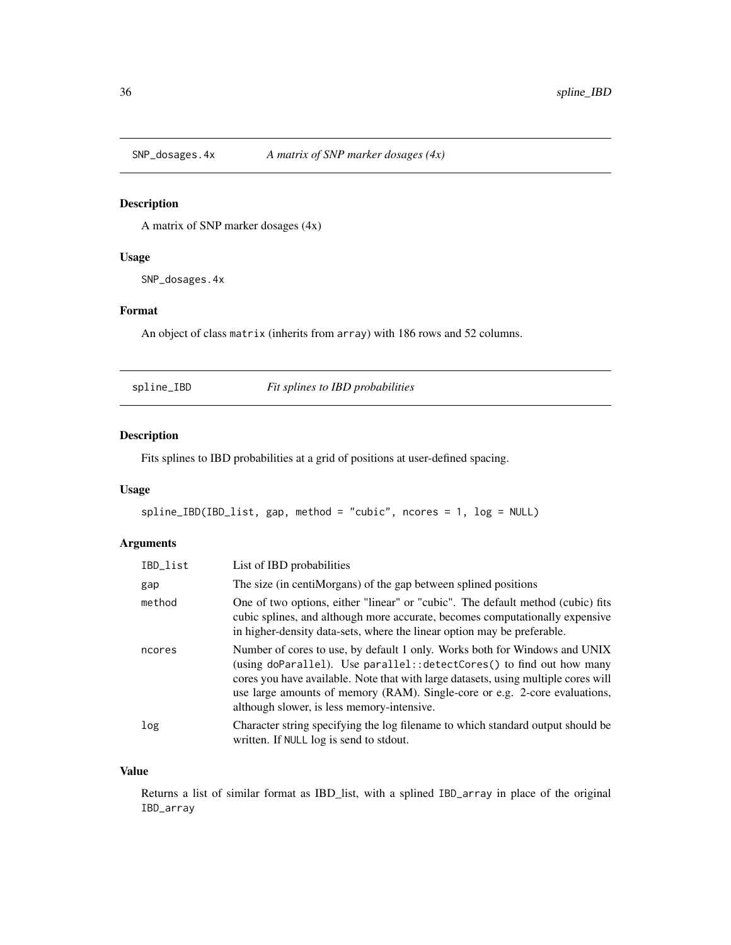<span id="page-35-0"></span>

A matrix of SNP marker dosages (4x)

#### Usage

SNP\_dosages.4x

# Format

An object of class matrix (inherits from array) with 186 rows and 52 columns.

<span id="page-35-1"></span>spline\_IBD *Fit splines to IBD probabilities*

#### Description

Fits splines to IBD probabilities at a grid of positions at user-defined spacing.

#### Usage

spline\_IBD(IBD\_list, gap, method = "cubic", ncores = 1, log = NULL)

# Arguments

| IBD_list | List of IBD probabilities                                                                                                                                                                                                                                                                                                                                             |
|----------|-----------------------------------------------------------------------------------------------------------------------------------------------------------------------------------------------------------------------------------------------------------------------------------------------------------------------------------------------------------------------|
| gap      | The size (in centiMorgans) of the gap between splined positions                                                                                                                                                                                                                                                                                                       |
| method   | One of two options, either "linear" or "cubic". The default method (cubic) fits<br>cubic splines, and although more accurate, becomes computationally expensive<br>in higher-density data-sets, where the linear option may be preferable.                                                                                                                            |
| ncores   | Number of cores to use, by default 1 only. Works both for Windows and UNIX<br>(using doParallel). Use parallel:: detectCores() to find out how many<br>cores you have available. Note that with large datasets, using multiple cores will<br>use large amounts of memory (RAM). Single-core or e.g. 2-core evaluations,<br>although slower, is less memory-intensive. |
| log      | Character string specifying the log filename to which standard output should be<br>written. If NULL log is send to stdout.                                                                                                                                                                                                                                            |

#### Value

Returns a list of similar format as IBD\_list, with a splined IBD\_array in place of the original IBD\_array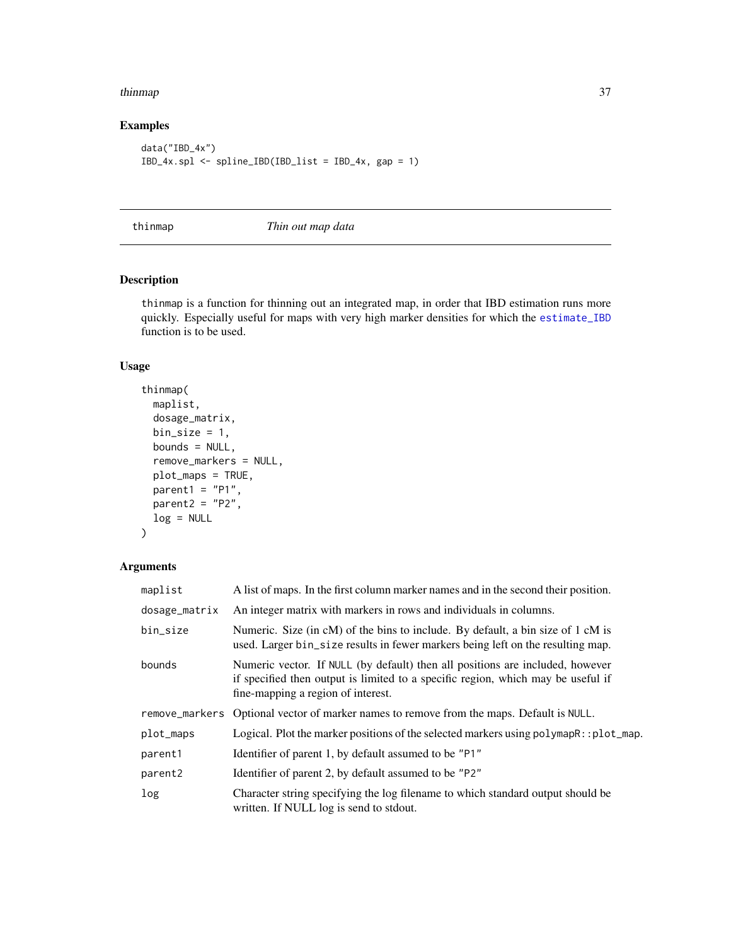#### <span id="page-36-0"></span>thinmap 37

# Examples

```
data("IBD_4x")
IBD_4x.spl <- spline_IBD(IBD_list = IBD_4x, gap = 1)
```
thinmap *Thin out map data*

#### Description

thinmap is a function for thinning out an integrated map, in order that IBD estimation runs more quickly. Especially useful for maps with very high marker densities for which the [estimate\\_IBD](#page-7-1) function is to be used.

# Usage

```
thinmap(
 maplist,
  dosage_matrix,
 bin\_size = 1,
 bounds = NULL,
  remove_markers = NULL,
 plot_maps = TRUE,
 parent1 = "P1",parent2 = "P2",log = NULL
\mathcal{L}
```

| maplist             | A list of maps. In the first column marker names and in the second their position.                                                                                                                      |
|---------------------|---------------------------------------------------------------------------------------------------------------------------------------------------------------------------------------------------------|
| dosage_matrix       | An integer matrix with markers in rows and individuals in columns.                                                                                                                                      |
| bin_size            | Numeric. Size (in cM) of the bins to include. By default, a bin size of 1 cM is<br>used. Larger bin_size results in fewer markers being left on the resulting map.                                      |
| bounds              | Numeric vector. If NULL (by default) then all positions are included, however<br>if specified then output is limited to a specific region, which may be useful if<br>fine-mapping a region of interest. |
|                     | remove_markers Optional vector of marker names to remove from the maps. Default is NULL.                                                                                                                |
| plot_maps           | Logical. Plot the marker positions of the selected markers using $\text{polymapR}: \text{plot\_map.}$                                                                                                   |
| parent1             | Identifier of parent 1, by default assumed to be "P1"                                                                                                                                                   |
| parent <sub>2</sub> | Identifier of parent 2, by default assumed to be "P2"                                                                                                                                                   |
| log                 | Character string specifying the log filename to which standard output should be<br>written. If NULL log is send to stdout.                                                                              |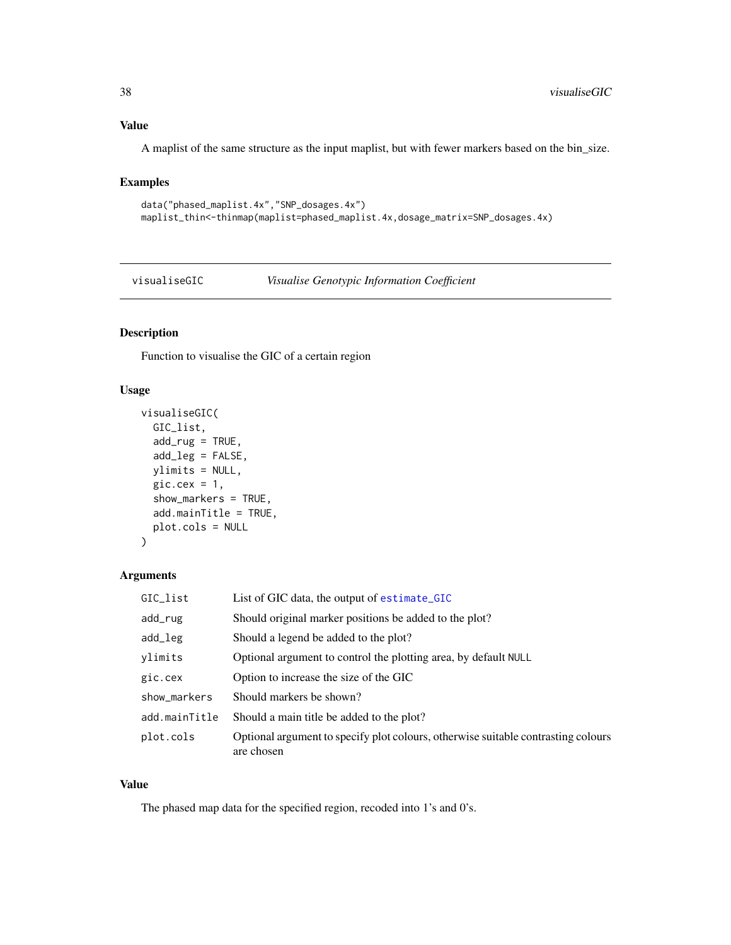# <span id="page-37-0"></span>Value

A maplist of the same structure as the input maplist, but with fewer markers based on the bin\_size.

# Examples

```
data("phased_maplist.4x","SNP_dosages.4x")
maplist_thin<-thinmap(maplist=phased_maplist.4x,dosage_matrix=SNP_dosages.4x)
```
visualiseGIC *Visualise Genotypic Information Coefficient*

# Description

Function to visualise the GIC of a certain region

# Usage

```
visualiseGIC(
  GIC_list,
  add_rug = TRUE,add_leg = FALSE,
 ylimits = NULL,
  gic.cex = 1,
  show_markers = TRUE,
  add.mainTitle = TRUE,
 plot.cols = NULL
)
```
#### Arguments

| GIC_list      | List of GIC data, the output of estimate_GIC                                                    |
|---------------|-------------------------------------------------------------------------------------------------|
| add_rug       | Should original marker positions be added to the plot?                                          |
| add_leg       | Should a legend be added to the plot?                                                           |
| ylimits       | Optional argument to control the plotting area, by default NULL                                 |
| gic.cex       | Option to increase the size of the GIC                                                          |
| show_markers  | Should markers be shown?                                                                        |
| add.mainTitle | Should a main title be added to the plot?                                                       |
| plot.cols     | Optional argument to specify plot colours, otherwise suitable contrasting colours<br>are chosen |

#### Value

The phased map data for the specified region, recoded into 1's and 0's.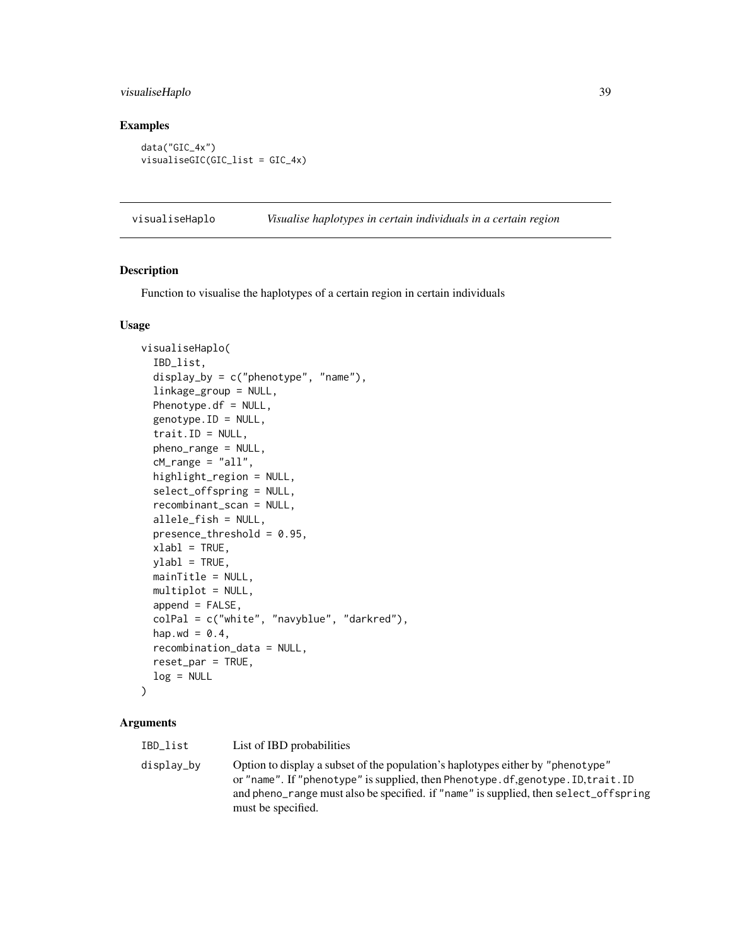# <span id="page-38-0"></span>visualiseHaplo 39

# Examples

data("GIC\_4x") visualiseGIC(GIC\_list = GIC\_4x)

<span id="page-38-1"></span>visualiseHaplo *Visualise haplotypes in certain individuals in a certain region*

# Description

Function to visualise the haplotypes of a certain region in certain individuals

#### Usage

```
visualiseHaplo(
  IBD_list,
  display_by = c("phenotype", "name"),
  linkage_group = NULL,
 Phenotype.df = NULL,
  genotype.ID = NULL,
  trait.ID = NULL,pheno_range = NULL,
  cM<sub>range</sub> = "all",
  highlight_region = NULL,
  select_offspring = NULL,
  recombinant_scan = NULL,
  allele_fish = NULL,
 presence_threshold = 0.95,
  xlabl = TRUE,
 ylab1 = TRUE,mainTitle = NULL,
 multiplot = NULL,
  append = FALSE,colPal = c("white", "navyblue", "darkred"),
  hap.wd = 0.4,
  recombination_data = NULL,
  reset_par = TRUE,
  log = NULL\mathcal{L}
```

| IBD_list   | List of IBD probabilities                                                                                                                                                                                                                                                          |
|------------|------------------------------------------------------------------------------------------------------------------------------------------------------------------------------------------------------------------------------------------------------------------------------------|
| displav_bv | Option to display a subset of the population's haplotypes either by "phenotype"<br>or "name". If "phenotype" is supplied, then Phenotype.df, genotype. ID, trait. ID<br>and pheno_range must also be specified. if "name" is supplied, then select_offspring<br>must be specified. |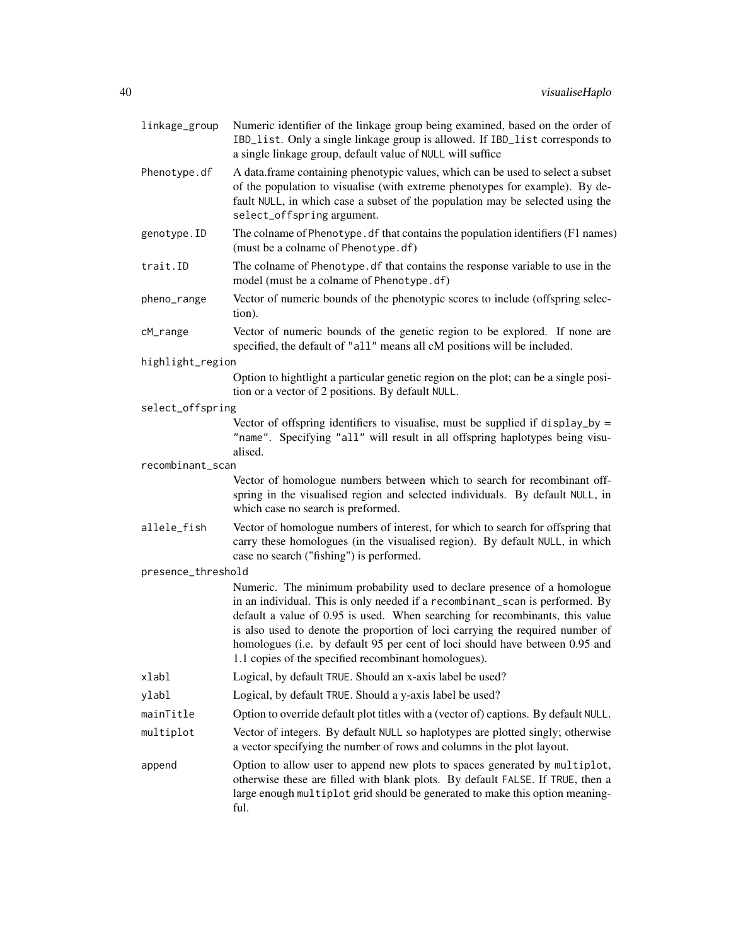| linkage_group      | Numeric identifier of the linkage group being examined, based on the order of<br>IBD_list. Only a single linkage group is allowed. If IBD_list corresponds to<br>a single linkage group, default value of NULL will suffice                                                                                                                                                                                                                                       |
|--------------------|-------------------------------------------------------------------------------------------------------------------------------------------------------------------------------------------------------------------------------------------------------------------------------------------------------------------------------------------------------------------------------------------------------------------------------------------------------------------|
| Phenotype.df       | A data.frame containing phenotypic values, which can be used to select a subset<br>of the population to visualise (with extreme phenotypes for example). By de-<br>fault NULL, in which case a subset of the population may be selected using the<br>select_offspring argument.                                                                                                                                                                                   |
| genotype.ID        | The colname of Phenotype. df that contains the population identifiers (F1 names)<br>(must be a colname of Phenotype.df)                                                                                                                                                                                                                                                                                                                                           |
| trait.ID           | The colname of Phenotype. df that contains the response variable to use in the<br>model (must be a colname of Phenotype.df)                                                                                                                                                                                                                                                                                                                                       |
| pheno_range        | Vector of numeric bounds of the phenotypic scores to include (offspring selec-<br>tion).                                                                                                                                                                                                                                                                                                                                                                          |
| cM_range           | Vector of numeric bounds of the genetic region to be explored. If none are<br>specified, the default of "all" means all cM positions will be included.                                                                                                                                                                                                                                                                                                            |
| highlight_region   |                                                                                                                                                                                                                                                                                                                                                                                                                                                                   |
|                    | Option to hightlight a particular genetic region on the plot; can be a single posi-<br>tion or a vector of 2 positions. By default NULL.                                                                                                                                                                                                                                                                                                                          |
| select_offspring   |                                                                                                                                                                                                                                                                                                                                                                                                                                                                   |
|                    | Vector of offspring identifiers to visualise, must be supplied if display_by =<br>"name". Specifying "all" will result in all offspring haplotypes being visu-<br>alised.                                                                                                                                                                                                                                                                                         |
| recombinant_scan   |                                                                                                                                                                                                                                                                                                                                                                                                                                                                   |
|                    | Vector of homologue numbers between which to search for recombinant off-<br>spring in the visualised region and selected individuals. By default NULL, in<br>which case no search is preformed.                                                                                                                                                                                                                                                                   |
| allele_fish        | Vector of homologue numbers of interest, for which to search for offspring that<br>carry these homologues (in the visualised region). By default NULL, in which<br>case no search ("fishing") is performed.                                                                                                                                                                                                                                                       |
| presence_threshold |                                                                                                                                                                                                                                                                                                                                                                                                                                                                   |
|                    | Numeric. The minimum probability used to declare presence of a homologue<br>in an individual. This is only needed if a recombinant_scan is performed. By<br>default a value of 0.95 is used. When searching for recombinants, this value<br>is also used to denote the proportion of loci carrying the required number of<br>homologues (i.e. by default 95 per cent of loci should have between 0.95 and<br>1.1 copies of the specified recombinant homologues). |
| xlabl              | Logical, by default TRUE. Should an x-axis label be used?                                                                                                                                                                                                                                                                                                                                                                                                         |
| ylabl              | Logical, by default TRUE. Should a y-axis label be used?                                                                                                                                                                                                                                                                                                                                                                                                          |
| mainTitle          | Option to override default plot titles with a (vector of) captions. By default NULL.                                                                                                                                                                                                                                                                                                                                                                              |
| multiplot          | Vector of integers. By default NULL so haplotypes are plotted singly; otherwise<br>a vector specifying the number of rows and columns in the plot layout.                                                                                                                                                                                                                                                                                                         |
| append             | Option to allow user to append new plots to spaces generated by multiplot,<br>otherwise these are filled with blank plots. By default FALSE. If TRUE, then a<br>large enough multiplot grid should be generated to make this option meaning-<br>ful.                                                                                                                                                                                                              |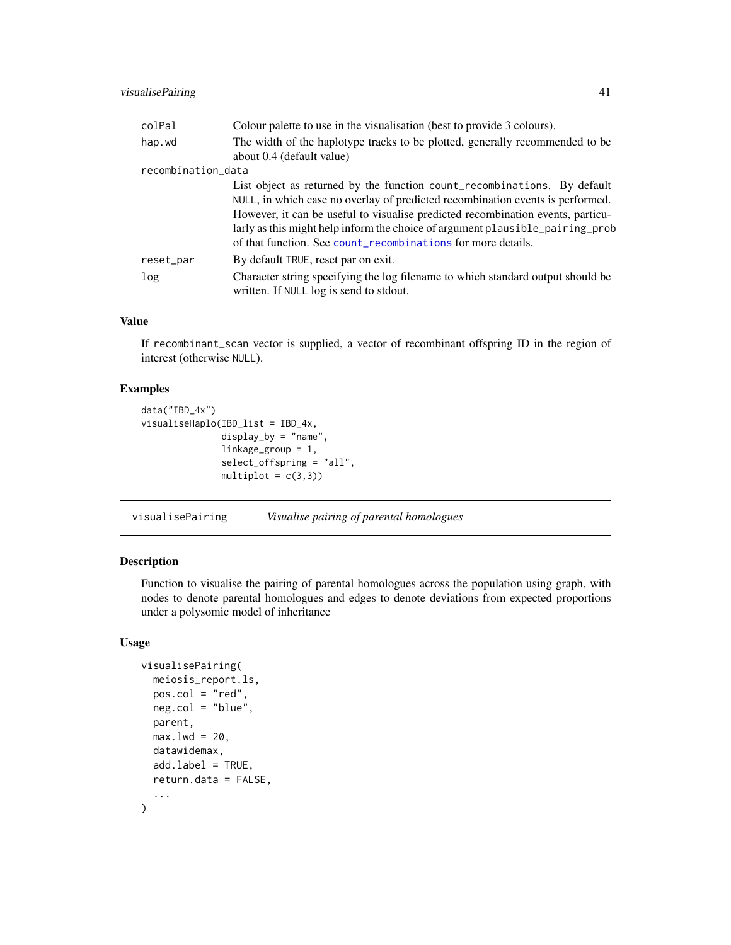# <span id="page-40-0"></span>visualisePairing 41

| colPal             | Colour palette to use in the visualisation (best to provide 3 colours).                                                                                                                                                                                                                                                                                                                        |
|--------------------|------------------------------------------------------------------------------------------------------------------------------------------------------------------------------------------------------------------------------------------------------------------------------------------------------------------------------------------------------------------------------------------------|
| hap.wd             | The width of the haplotype tracks to be plotted, generally recommended to be<br>about 0.4 (default value)                                                                                                                                                                                                                                                                                      |
| recombination_data |                                                                                                                                                                                                                                                                                                                                                                                                |
|                    | List object as returned by the function count_recombinations. By default<br>NULL, in which case no overlay of predicted recombination events is performed.<br>However, it can be useful to visualise predicted recombination events, particu-<br>larly as this might help inform the choice of argument plausible_pairing_prob<br>of that function. See count_recombinations for more details. |
| reset_par          | By default TRUE, reset par on exit.                                                                                                                                                                                                                                                                                                                                                            |
| log                | Character string specifying the log filename to which standard output should be<br>written. If NULL log is send to stdout.                                                                                                                                                                                                                                                                     |

# Value

If recombinant\_scan vector is supplied, a vector of recombinant offspring ID in the region of interest (otherwise NULL).

# Examples

```
data("IBD_4x")
visualiseHaplo(IBD_list = IBD_4x,
              display_by = "name",
              linkage_group = 1,
              select_offspring = "all",
              multiplot = c(3,3))
```
visualisePairing *Visualise pairing of parental homologues*

# Description

Function to visualise the pairing of parental homologues across the population using graph, with nodes to denote parental homologues and edges to denote deviations from expected proportions under a polysomic model of inheritance

#### Usage

```
visualisePairing(
 meiosis_report.ls,
 pos.col = "red",
  neg.col = "blue",
 parent,
 max.lwd = 20,
  datawidemax,
  add.label = TRUE,
  return.data = FALSE,
  ...
\mathcal{L}
```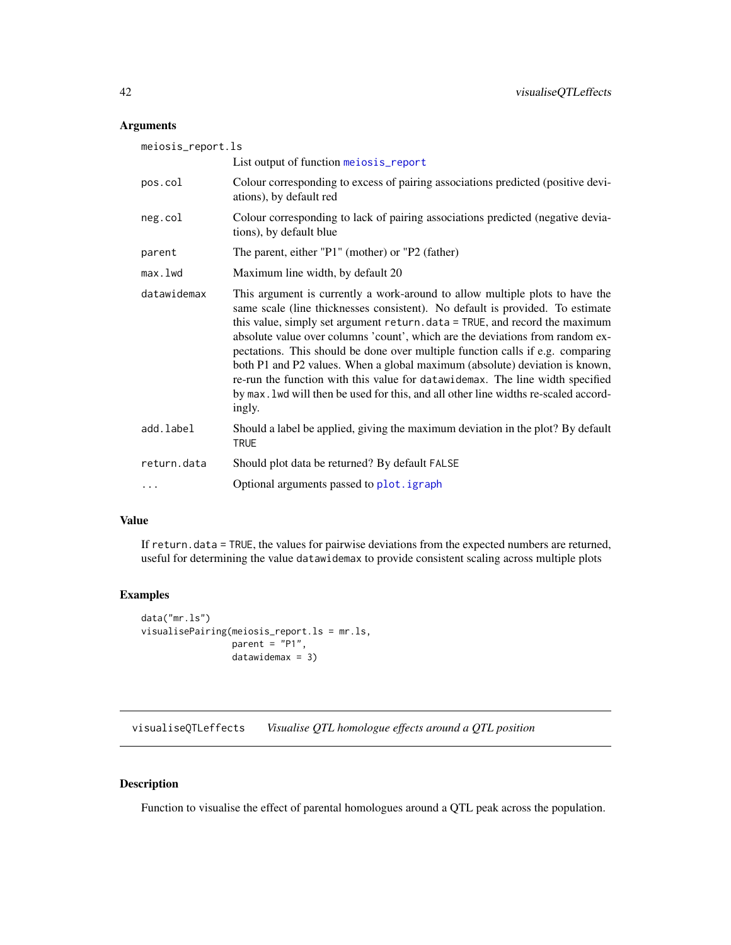# <span id="page-41-0"></span>Arguments

| meiosis_report.ls |                                                                                                                                                                                                                                                                                                                                                                                                                                                                                                                                                                                                                                                                                   |
|-------------------|-----------------------------------------------------------------------------------------------------------------------------------------------------------------------------------------------------------------------------------------------------------------------------------------------------------------------------------------------------------------------------------------------------------------------------------------------------------------------------------------------------------------------------------------------------------------------------------------------------------------------------------------------------------------------------------|
|                   | List output of function meiosis_report                                                                                                                                                                                                                                                                                                                                                                                                                                                                                                                                                                                                                                            |
| pos.col           | Colour corresponding to excess of pairing associations predicted (positive devi-<br>ations), by default red                                                                                                                                                                                                                                                                                                                                                                                                                                                                                                                                                                       |
| neg.col           | Colour corresponding to lack of pairing associations predicted (negative devia-<br>tions), by default blue                                                                                                                                                                                                                                                                                                                                                                                                                                                                                                                                                                        |
| parent            | The parent, either "P1" (mother) or "P2 (father)                                                                                                                                                                                                                                                                                                                                                                                                                                                                                                                                                                                                                                  |
| max.lwd           | Maximum line width, by default 20                                                                                                                                                                                                                                                                                                                                                                                                                                                                                                                                                                                                                                                 |
| datawidemax       | This argument is currently a work-around to allow multiple plots to have the<br>same scale (line thicknesses consistent). No default is provided. To estimate<br>this value, simply set argument return. data = TRUE, and record the maximum<br>absolute value over columns 'count', which are the deviations from random ex-<br>pectations. This should be done over multiple function calls if e.g. comparing<br>both P1 and P2 values. When a global maximum (absolute) deviation is known,<br>re-run the function with this value for datawidemax. The line width specified<br>by max. 1 wd will then be used for this, and all other line widths re-scaled accord-<br>ingly. |
| add.label         | Should a label be applied, giving the maximum deviation in the plot? By default<br><b>TRUE</b>                                                                                                                                                                                                                                                                                                                                                                                                                                                                                                                                                                                    |
| return.data       | Should plot data be returned? By default FALSE                                                                                                                                                                                                                                                                                                                                                                                                                                                                                                                                                                                                                                    |
| $\ddots$          | Optional arguments passed to plot. igraph                                                                                                                                                                                                                                                                                                                                                                                                                                                                                                                                                                                                                                         |

#### Value

If return.data = TRUE, the values for pairwise deviations from the expected numbers are returned, useful for determining the value datawidemax to provide consistent scaling across multiple plots

# Examples

```
data("mr.ls")
visualisePairing(meiosis_report.ls = mr.ls,
                 parent = "P1",
                 datawidemax = 3)
```
visualiseQTLeffects *Visualise QTL homologue effects around a QTL position*

# Description

Function to visualise the effect of parental homologues around a QTL peak across the population.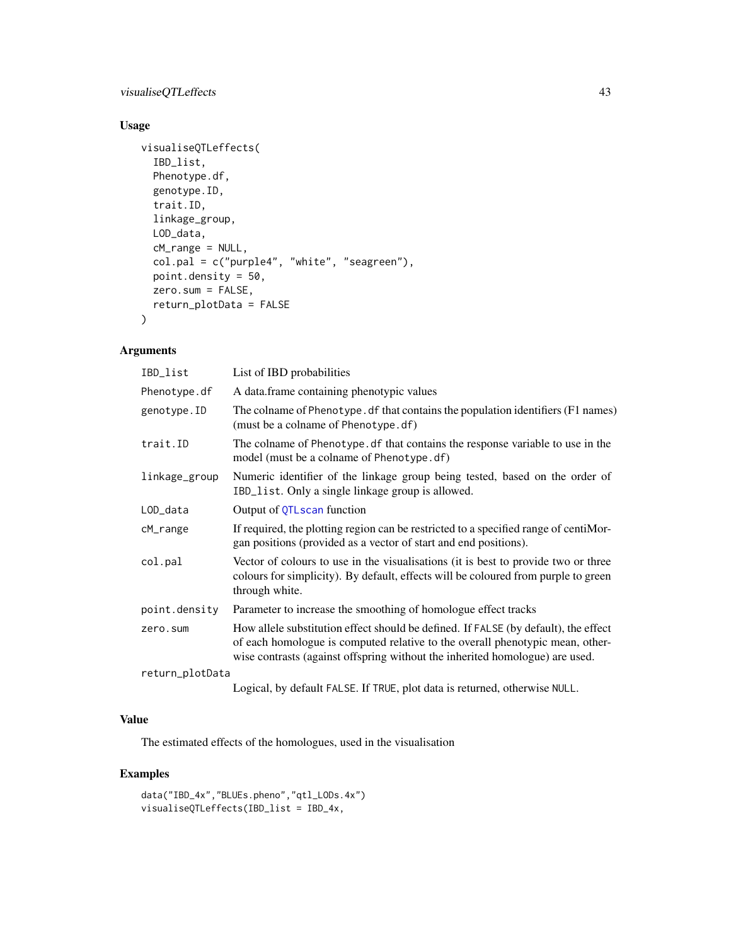# <span id="page-42-0"></span>visualiseQTLeffects 43

# Usage

```
visualiseQTLeffects(
  IBD_list,
  Phenotype.df,
  genotype.ID,
  trait.ID,
  linkage_group,
  LOD_data,
  cM_range = NULL,
  col.pal = c("purple4", "white", "seagreen"),
  point.density = 50,
  zero.sum = FALSE,
  return_plotData = FALSE
\mathcal{L}
```
# Arguments

| IBD_list        | List of IBD probabilities                                                                                                                                                                                                                            |
|-----------------|------------------------------------------------------------------------------------------------------------------------------------------------------------------------------------------------------------------------------------------------------|
| Phenotype.df    | A data.frame containing phenotypic values                                                                                                                                                                                                            |
| genotype.ID     | The colname of Phenotype. df that contains the population identifiers (F1 names)<br>(must be a colname of Phenotype.df)                                                                                                                              |
| trait.ID        | The colname of Phenotype. df that contains the response variable to use in the<br>model (must be a colname of Phenotype.df)                                                                                                                          |
| linkage_group   | Numeric identifier of the linkage group being tested, based on the order of<br>IBD_list. Only a single linkage group is allowed.                                                                                                                     |
| LOD_data        | Output of QTLscan function                                                                                                                                                                                                                           |
| cM_range        | If required, the plotting region can be restricted to a specified range of centiMor-<br>gan positions (provided as a vector of start and end positions).                                                                                             |
| col.pal         | Vector of colours to use in the visualisations (it is best to provide two or three<br>colours for simplicity). By default, effects will be coloured from purple to green<br>through white.                                                           |
| point.density   | Parameter to increase the smoothing of homologue effect tracks                                                                                                                                                                                       |
| zero.sum        | How allele substitution effect should be defined. If FALSE (by default), the effect<br>of each homologue is computed relative to the overall phenotypic mean, other-<br>wise contrasts (against offspring without the inherited homologue) are used. |
| return_plotData |                                                                                                                                                                                                                                                      |
|                 | Logical, by default FALSE. If TRUE, plot data is returned, otherwise NULL.                                                                                                                                                                           |

# Value

The estimated effects of the homologues, used in the visualisation

# Examples

```
data("IBD_4x","BLUEs.pheno","qtl_LODs.4x")
visualiseQTLeffects(IBD_list = IBD_4x,
```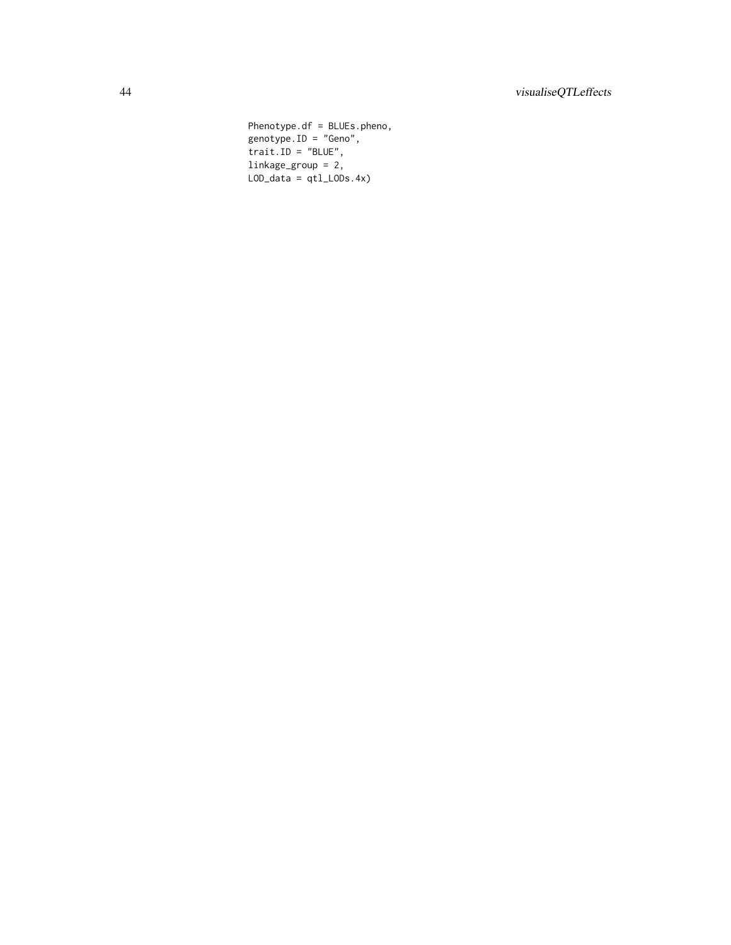Phenotype.df = BLUEs.pheno, genotype.ID = "Geno",  $trainID = "BLE",$ linkage\_group = 2,  $LOD\_data = qt1_LODs.4x)$